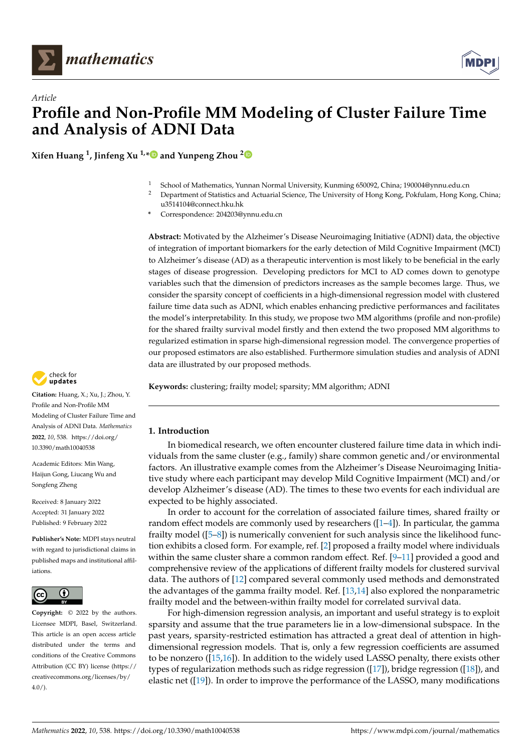



**Xifen Huang <sup>1</sup> , Jinfeng Xu 1,[\\*](https://orcid.org/0000-0002-3165-2015) and Yunpeng Zhou [2](https://orcid.org/0000-0002-2432-7898)**

- <sup>1</sup> School of Mathematics, Yunnan Normal University, Kunming 650092, China; 190004@ynnu.edu.cn
- <sup>2</sup> Department of Statistics and Actuarial Science, The University of Hong Kong, Pokfulam, Hong Kong, China; u3514104@connect.hku.hk
- **\*** Correspondence: 204203@ynnu.edu.cn

**Abstract:** Motivated by the Alzheimer's Disease Neuroimaging Initiative (ADNI) data, the objective of integration of important biomarkers for the early detection of Mild Cognitive Impairment (MCI) to Alzheimer's disease (AD) as a therapeutic intervention is most likely to be beneficial in the early stages of disease progression. Developing predictors for MCI to AD comes down to genotype variables such that the dimension of predictors increases as the sample becomes large. Thus, we consider the sparsity concept of coefficients in a high-dimensional regression model with clustered failure time data such as ADNI, which enables enhancing predictive performances and facilitates the model's interpretability. In this study, we propose two MM algorithms (profile and non-profile) for the shared frailty survival model firstly and then extend the two proposed MM algorithms to regularized estimation in sparse high-dimensional regression model. The convergence properties of our proposed estimators are also established. Furthermore simulation studies and analysis of ADNI data are illustrated by our proposed methods.

**Keywords:** clustering; frailty model; sparsity; MM algorithm; ADNI

# **1. Introduction**

In biomedical research, we often encounter clustered failure time data in which individuals from the same cluster (e.g., family) share common genetic and/or environmental factors. An illustrative example comes from the Alzheimer's Disease Neuroimaging Initiative study where each participant may develop Mild Cognitive Impairment (MCI) and/or develop Alzheimer's disease (AD). The times to these two events for each individual are expected to be highly associated.

In order to account for the correlation of associated failure times, shared frailty or random effect models are commonly used by researchers  $(1-4)$ . In particular, the gamma frailty model  $([5-8])$  $([5-8])$  $([5-8])$  is numerically convenient for such analysis since the likelihood function exhibits a closed form. For example, ref. [\[2\]](#page-19-4) proposed a frailty model where individuals within the same cluster share a common random effect. Ref. [\[9–](#page-19-5)[11\]](#page-19-6) provided a good and comprehensive review of the applications of different frailty models for clustered survival data. The authors of [\[12\]](#page-19-7) compared several commonly used methods and demonstrated the advantages of the gamma frailty model. Ref. [\[13,](#page-19-8)[14\]](#page-19-9) also explored the nonparametric frailty model and the between-within frailty model for correlated survival data.

For high-dimension regression analysis, an important and useful strategy is to exploit sparsity and assume that the true parameters lie in a low-dimensional subspace. In the past years, sparsity-restricted estimation has attracted a great deal of attention in highdimensional regression models. That is, only a few regression coefficients are assumed to be nonzero ([\[15,](#page-19-10)[16\]](#page-19-11)). In addition to the widely used LASSO penalty, there exists other types of regularization methods such as ridge regression  $(17)$ , bridge regression  $(18)$ , and elastic net ([\[19\]](#page-19-14)). In order to improve the performance of the LASSO, many modifications



**Citation:** Huang, X.; Xu, J.; Zhou, Y. Profile and Non-Profile MM Modeling of Cluster Failure Time and Analysis of ADNI Data. *Mathematics* **2022**, *10*, 538. [https://doi.org/](https://doi.org/10.3390/math10040538) [10.3390/math10040538](https://doi.org/10.3390/math10040538)

Academic Editors: Min Wang, Haijun Gong, Liucang Wu and Songfeng Zheng

Received: 8 January 2022 Accepted: 31 January 2022 Published: 9 February 2022

**Publisher's Note:** MDPI stays neutral with regard to jurisdictional claims in published maps and institutional affiliations.



**Copyright:** © 2022 by the authors. Licensee MDPI, Basel, Switzerland. This article is an open access article distributed under the terms and conditions of the Creative Commons Attribution (CC BY) license [\(https://](https://creativecommons.org/licenses/by/4.0/) [creativecommons.org/licenses/by/](https://creativecommons.org/licenses/by/4.0/)  $4.0/$ ).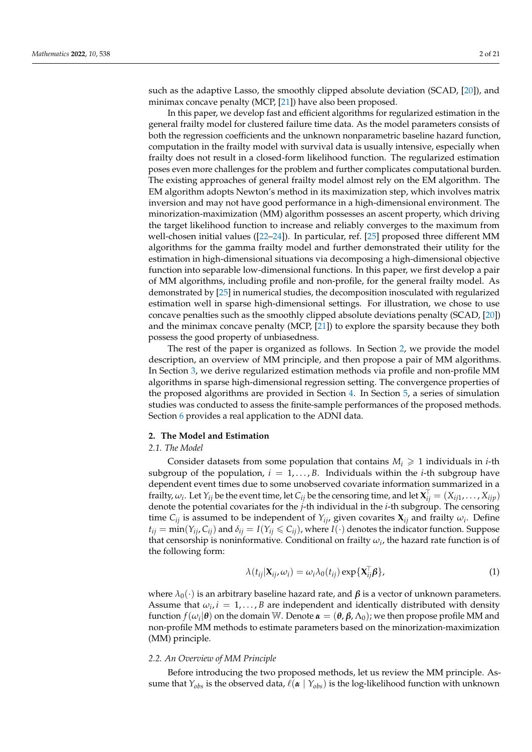such as the adaptive Lasso, the smoothly clipped absolute deviation (SCAD, [\[20\]](#page-19-15)), and minimax concave penalty (MCP, [\[21\]](#page-19-16)) have also been proposed.

In this paper, we develop fast and efficient algorithms for regularized estimation in the general frailty model for clustered failure time data. As the model parameters consists of both the regression coefficients and the unknown nonparametric baseline hazard function, computation in the frailty model with survival data is usually intensive, especially when frailty does not result in a closed-form likelihood function. The regularized estimation poses even more challenges for the problem and further complicates computational burden. The existing approaches of general frailty model almost rely on the EM algorithm. The EM algorithm adopts Newton's method in its maximization step, which involves matrix inversion and may not have good performance in a high-dimensional environment. The minorization-maximization (MM) algorithm possesses an ascent property, which driving the target likelihood function to increase and reliably converges to the maximum from well-chosen initial values ([\[22](#page-19-17)[–24\]](#page-19-18)). In particular, ref. [\[25\]](#page-19-19) proposed three different MM algorithms for the gamma frailty model and further demonstrated their utility for the estimation in high-dimensional situations via decomposing a high-dimensional objective function into separable low-dimensional functions. In this paper, we first develop a pair of MM algorithms, including profile and non-profile, for the general frailty model. As demonstrated by [\[25\]](#page-19-19) in numerical studies, the decomposition inosculated with regularized estimation well in sparse high-dimensional settings. For illustration, we chose to use concave penalties such as the smoothly clipped absolute deviations penalty (SCAD, [\[20\]](#page-19-15)) and the minimax concave penalty (MCP, [\[21\]](#page-19-16)) to explore the sparsity because they both possess the good property of unbiasedness.

The rest of the paper is organized as follows. In Section [2,](#page-1-0) we provide the model description, an overview of MM principle, and then propose a pair of MM algorithms. In Section [3,](#page-6-0) we derive regularized estimation methods via profile and non-profile MM algorithms in sparse high-dimensional regression setting. The convergence properties of the proposed algorithms are provided in Section [4.](#page-7-0) In Section [5,](#page-8-0) a series of simulation studies was conducted to assess the finite-sample performances of the proposed methods. Section [6](#page-16-0) provides a real application to the ADNI data.

### <span id="page-1-0"></span>**2. The Model and Estimation**

### *2.1. The Model*

Consider datasets from some population that contains  $M_i \geq 1$  individuals in *i*-th subgroup of the population,  $i = 1, \ldots, B$ . Individuals within the *i*-th subgroup have dependent event times due to some unobserved covariate information summarized in a frailty,  $\omega_i$ . Let  $Y_{ij}$  be the event time, let  $C_{ij}$  be the censoring time, and let  $\mathbf{X}_{ij}^\top = (X_{ij1}, \dots, X_{ijp})$ denote the potential covariates for the *j*-th individual in the *i*-th subgroup. The censoring time  $C_{ij}$  is assumed to be independent of  $Y_{ij}$ , given covarites  $X_{ij}$  and frailty  $\omega_i$ . Define  $t_{ij}$  = min( $Y_{ij}$ ,  $C_{ij}$ ) and  $\delta_{ij}$  =  $I(Y_{ij} \leq C_{ij})$ , where  $I(\cdot)$  denotes the indicator function. Suppose that censorship is noninformative. Conditional on frailty  $\omega_i$ , the hazard rate function is of the following form:

$$
\lambda(t_{ij}|\mathbf{X}_{ij},\omega_i) = \omega_i \lambda_0(t_{ij}) \exp{\{\mathbf{X}_{ij}^{\mathsf{T}}\boldsymbol{\beta}\}},\tag{1}
$$

where  $λ_0(·)$  is an arbitrary baseline hazard rate, and *β* is a vector of unknown parameters. Assume that  $\omega_i$ ,  $i = 1, \ldots, B$  are independent and identically distributed with density function  $f(\omega_i|\theta)$  on the domain W. Denote  $\alpha = (\theta, \beta, \Lambda_0)$ ; we then propose profile MM and non-profile MM methods to estimate parameters based on the minorization-maximization (MM) principle.

### *2.2. An Overview of MM Principle*

Before introducing the two proposed methods, let us review the MM principle. Assume that  $Y_{obs}$  is the observed data,  $\ell(\alpha | Y_{obs})$  is the log-likelihood function with unknown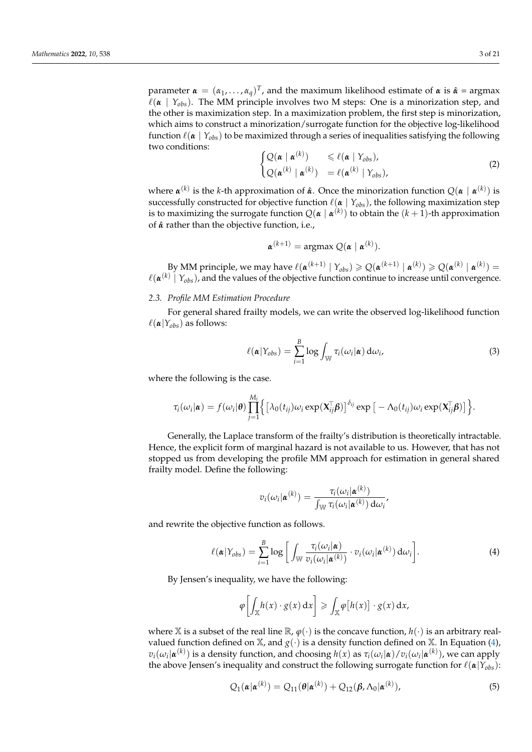parameter  $\boldsymbol{\alpha} = (\alpha_1, \dots, \alpha_q)^T$ , and the maximum likelihood estimate of  $\boldsymbol{\alpha}$  is  $\hat{\boldsymbol{\alpha}} = \text{argmax}$  $\ell(\alpha \mid Y_{obs})$ . The MM principle involves two M steps: One is a minorization step, and the other is maximization step. In a maximization problem, the first step is minorization, which aims to construct a minorization/surrogate function for the objective log-likelihood function  $\ell(\alpha | Y_{obs})$  to be maximized through a series of inequalities satisfying the following two conditions:

$$
\begin{cases} Q(\boldsymbol{\alpha} \mid \boldsymbol{\alpha}^{(k)}) & \leq \ell(\boldsymbol{\alpha} \mid Y_{obs}), \\ Q(\boldsymbol{\alpha}^{(k)} \mid \boldsymbol{\alpha}^{(k)}) & = \ell(\boldsymbol{\alpha}^{(k)} \mid Y_{obs}), \end{cases}
$$
\n(2)

where *α* (*k*) is the *k*-th approximation of *α*ˆ. Once the minorization function *Q*(*α* | *α* (*k*) ) is successfully constructed for objective function  $\ell(\alpha | Y_{obs})$ , the following maximization step is to maximizing the surrogate function  $Q(\pmb{\alpha} \mid \pmb{\alpha}^{(k)})$  to obtain the  $(k+1)$ -th approximation of ˆ*α* rather than the objective function, i.e.,

$$
\boldsymbol{\alpha}^{(k+1)} = \operatorname{argmax} Q(\boldsymbol{\alpha} \mid \boldsymbol{\alpha}^{(k)}).
$$

By MM principle, we may have  $\ell(\mathfrak{a}^{(k+1)} | Y_{obs}) \geqslant Q(\mathfrak{a}^{(k+1)} | \mathfrak{a}^{(k)}) \geqslant Q(\mathfrak{a}^{(k)} | \mathfrak{a}^{(k)}) =$  $\ell(\pmb{\alpha}^{(k)}\mid Y_{obs})$ , and the values of the objective function continue to increase until convergence.

# *2.3. Profile MM Estimation Procedure*

For general shared frailty models, we can write the observed log-likelihood function  $\ell(\alpha|Y_{obs})$  as follows:

<span id="page-2-1"></span>
$$
\ell(\boldsymbol{\alpha}|Y_{obs}) = \sum_{i=1}^{B} \log \int_{\mathbb{W}} \tau_i(\omega_i|\boldsymbol{\alpha}) d\omega_i,
$$
\n(3)

where the following is the case.

$$
\tau_i(\omega_i|\boldsymbol{\alpha}) = f(\omega_i|\boldsymbol{\theta}) \prod_{j=1}^{M_i} \Big\{ \big[\lambda_0(t_{ij})\omega_i \exp(\mathbf{X}_{ij}^\top \boldsymbol{\beta})\big]^{\delta_{ij}} \exp\big[-\Lambda_0(t_{ij})\omega_i \exp(\mathbf{X}_{ij}^\top \boldsymbol{\beta})\big]\Big\}.
$$

Generally, the Laplace transform of the frailty's distribution is theoretically intractable. Hence, the explicit form of marginal hazard is not available to us. However, that has not stopped us from developing the profile MM approach for estimation in general shared frailty model. Define the following:

$$
v_i(\omega_i|\boldsymbol{\alpha}^{(k)}) = \frac{\tau_i(\omega_i|\boldsymbol{\alpha}^{(k)})}{\int_{\mathbb{W}} \tau_i(\omega_i|\boldsymbol{\alpha}^{(k)}) d\omega_i}
$$

and rewrite the objective function as follows.

<span id="page-2-0"></span>
$$
\ell(\boldsymbol{\alpha}|Y_{obs}) = \sum_{i=1}^{B} \log \bigg[ \int_{\mathbb{W}} \frac{\tau_i(\omega_i|\boldsymbol{\alpha})}{v_i(\omega_i|\boldsymbol{\alpha}^{(k)})} \cdot v_i(\omega_i|\boldsymbol{\alpha}^{(k)}) \, d\omega_i \bigg]. \tag{4}
$$

By Jensen's inequality, we have the following:

$$
\varphi\bigg[\int_{\mathbb{X}} h(x) \cdot g(x) \, dx\bigg] \geqslant \int_{\mathbb{X}} \varphi[h(x)] \cdot g(x) \, dx,
$$

where X is a subset of the real line  $\mathbb{R}$ ,  $\varphi(\cdot)$  is the concave function,  $h(\cdot)$  is an arbitrary realvalued function defined on  $X$ , and  $g(.)$  is a density function defined on  $X$ . In Equation [\(4\)](#page-2-0),  $v_i(\omega_i|\pmb{\alpha}^{(k)})$  is a density function, and choosing  $h(x)$  as  $\tau_i(\omega_i|\pmb{\alpha})/v_i(\omega_i|\pmb{\alpha}^{(k)}),$  we can apply the above Jensen's inequality and construct the following surrogate function for  $\ell(\boldsymbol{\alpha}|Y_{obs})$ :

$$
Q_1(\boldsymbol{\alpha}|\boldsymbol{\alpha}^{(k)}) = Q_{11}(\boldsymbol{\theta}|\boldsymbol{\alpha}^{(k)}) + Q_{12}(\boldsymbol{\beta}, \Lambda_0|\boldsymbol{\alpha}^{(k)}),
$$
\n(5)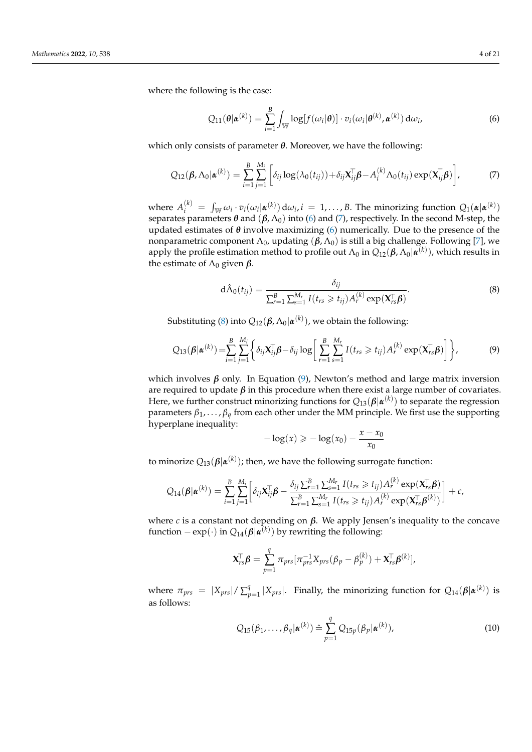where the following is the case:

<span id="page-3-0"></span>
$$
Q_{11}(\boldsymbol{\theta}|\boldsymbol{\alpha}^{(k)}) = \sum_{i=1}^{B} \int_{\mathbb{W}} \log[f(\omega_i|\boldsymbol{\theta})] \cdot v_i(\omega_i|\boldsymbol{\theta}^{(k)}, \boldsymbol{\alpha}^{(k)}) d\omega_i,
$$
(6)

which only consists of parameter *θ*. Moreover, we have the following:

<span id="page-3-1"></span>
$$
Q_{12}(\boldsymbol{\beta}, \Lambda_0 | \boldsymbol{\alpha}^{(k)}) = \sum_{i=1}^B \sum_{j=1}^{M_i} \left[ \delta_{ij} \log(\lambda_0(t_{ij})) + \delta_{ij} \mathbf{X}_{ij}^\top \boldsymbol{\beta} - A_i^{(k)} \Lambda_0(t_{ij}) \exp(\mathbf{X}_{ij}^\top \boldsymbol{\beta}) \right],\tag{7}
$$

where  $A_i^{(k)} = \int_{\mathbb{W}} \omega_i \cdot v_i(\omega_i | \boldsymbol{\alpha}^{(k)}) \, d\omega_i, i = 1, \dots, B$ . The minorizing function  $Q_1(\boldsymbol{\alpha} | \boldsymbol{\alpha}^{(k)})$ separates parameters  $\theta$  and  $(\beta, \Lambda_0)$  into [\(6\)](#page-3-0) and [\(7\)](#page-3-1), respectively. In the second M-step, the updated estimates of  $\theta$  involve maximizing [\(6\)](#page-3-0) numerically. Due to the presence of the nonparametric component  $Λ_0$ , updating  $(β, Λ_0)$  is still a big challenge. Following [\[7\]](#page-19-20), we apply the profile estimation method to profile out  $\Lambda_0$  in  $Q_{12}(\pmb{\beta},\Lambda_0|\pmb{\alpha}^{(k)}),$  which results in the estimate of  $\Lambda_0$  given  $\beta$ .

<span id="page-3-2"></span>
$$
d\hat{\Lambda}_0(t_{ij}) = \frac{\delta_{ij}}{\sum_{r=1}^B \sum_{s=1}^{M_r} I(t_{rs} \geq t_{ij}) A_r^{(k)} \exp(\mathbf{X}_{rs}^\top \boldsymbol{\beta})}.
$$
\n(8)

Substituting [\(8\)](#page-3-2) into  $Q_{12}(\boldsymbol{\beta}, \Lambda_0 | \boldsymbol{\alpha}^{(k)}),$  we obtain the following:

<span id="page-3-3"></span>
$$
Q_{13}(\boldsymbol{\beta}|\boldsymbol{\alpha}^{(k)}) = \sum_{i=1}^{B} \sum_{j=1}^{M_i} \left\{ \delta_{ij} \mathbf{X}_{ij}^{\top} \boldsymbol{\beta} - \delta_{ij} \log \left[ \sum_{r=1}^{B} \sum_{s=1}^{M_r} I(t_{rs} \ge t_{ij}) A_r^{(k)} \exp(\mathbf{X}_{rs}^{\top} \boldsymbol{\beta}) \right] \right\},
$$
(9)

which involves  $\beta$  only. In Equation [\(9\)](#page-3-3), Newton's method and large matrix inversion are required to update  $\beta$  in this procedure when there exist a large number of covariates. Here, we further construct minorizing functions for  $Q_{13}(\boldsymbol{\beta}|\boldsymbol{\alpha}^{(k)})$  to separate the regression parameters  $\beta_1, \ldots, \beta_q$  from each other under the MM principle. We first use the supporting hyperplane inequality:

$$
-\log(x) \geqslant -\log(x_0) - \frac{x - x_0}{x_0}
$$

to minorize *Q*13(*β*|*α* (*k*) ); then, we have the following surrogate function:

$$
Q_{14}(\boldsymbol{\beta}|\boldsymbol{\alpha}^{(k)}) = \sum_{i=1}^{B} \sum_{j=1}^{M_i} \left[ \delta_{ij} \mathbf{X}_{ij}^{\top} \boldsymbol{\beta} - \frac{\delta_{ij} \sum_{r=1}^{B} \sum_{s=1}^{M_r} I(t_{rs} \ge t_{ij}) A_r^{(k)} \exp(\mathbf{X}_{rs}^{\top} \boldsymbol{\beta})}{\sum_{r=1}^{B} \sum_{s=1}^{M_r} I(t_{rs} \ge t_{ij}) A_r^{(k)} \exp(\mathbf{X}_{rs}^{\top} \boldsymbol{\beta}^{(k)})} \right] + c,
$$

where *c* is a constant not depending on  $\beta$ . We apply Jensen's inequality to the concave function  $-\exp(\cdot)$  in  $Q_{14}(\boldsymbol{\beta}|\boldsymbol{\alpha}^{(k)})$  by rewriting the following:

$$
\mathbf{X}_{rs}^{\top} \boldsymbol{\beta} = \sum_{p=1}^{q} \pi_{prs} [\pi_{prs}^{-1} X_{prs} (\beta_p - \beta_p^{(k)}) + \mathbf{X}_{rs}^{\top} \boldsymbol{\beta}^{(k)}],
$$

where  $\pi_{prs} = |X_{prs}| / \sum_{t=0}^{q}$  $p_{p=1}^q\,|X_{prs}|.$  Finally, the minorizing function for  $Q_{14}(\boldsymbol{\beta}|\boldsymbol{\alpha}^{(k)})$  is as follows:

$$
Q_{15}(\beta_1,\ldots,\beta_q|\boldsymbol{\alpha}^{(k)})\stackrel{\sim}{=}\sum_{p=1}^q Q_{15p}(\beta_p|\boldsymbol{\alpha}^{(k)}),
$$
\n(10)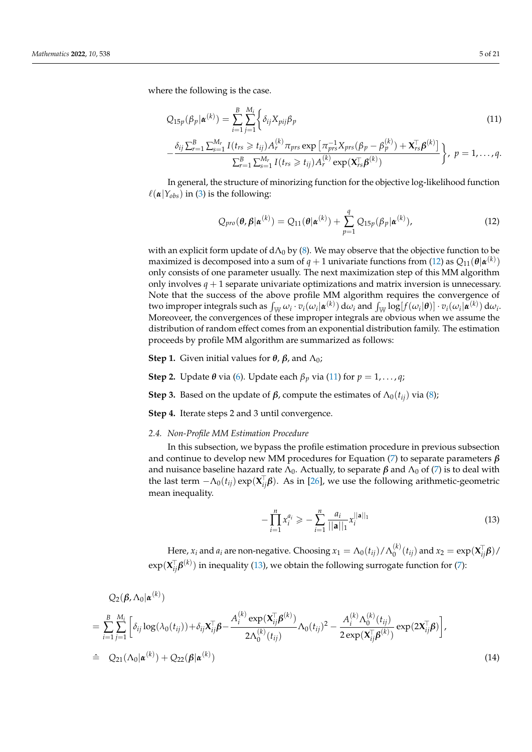where the following is the case.

<span id="page-4-1"></span>
$$
Q_{15p}(\beta_p|\boldsymbol{\alpha}^{(k)}) = \sum_{i=1}^{B} \sum_{j=1}^{M_i} \left\{ \delta_{ij} X_{pij} \beta_p \right\}
$$
\n(11)

$$
-\frac{\delta_{ij}\sum_{r=1}^{B}\sum_{s=1}^{M_{r}}I(t_{rs}\geq t_{ij})A_{r}^{(k)}\pi_{prs}\exp\left[\pi_{prs}^{-1}X_{prs}(\beta_{p}-\beta_{p}^{(k)})+\mathbf{X}_{rs}^{\top}\boldsymbol{\beta}^{(k)}\right]}{\sum_{r=1}^{B}\sum_{s=1}^{M_{r}}I(t_{rs}\geq t_{ij})A_{r}^{(k)}\exp(\mathbf{X}_{rs}^{\top}\boldsymbol{\beta}^{(k)})}\bigg\},\ p=1,\ldots,q.
$$

In general, the structure of minorizing function for the objective log-likelihood function  $\ell(\alpha|Y_{obs})$  in [\(3\)](#page-2-1) is the following:

<span id="page-4-0"></span>
$$
Q_{pro}(\boldsymbol{\theta}, \boldsymbol{\beta} | \boldsymbol{\alpha}^{(k)}) = Q_{11}(\boldsymbol{\theta} | \boldsymbol{\alpha}^{(k)}) + \sum_{p=1}^{q} Q_{15p}(\beta_p | \boldsymbol{\alpha}^{(k)}),
$$
\n(12)

with an explicit form update of  $d\Lambda_0$  by [\(8\)](#page-3-2). We may observe that the objective function to be maximized is decomposed into a sum of  $q+1$  univariate functions from [\(12\)](#page-4-0) as  $Q_{11}(\bm{\theta}|\bm{\alpha}^{(k)})$ only consists of one parameter usually. The next maximization step of this MM algorithm only involves  $q + 1$  separate univariate optimizations and matrix inversion is unnecessary. Note that the success of the above profile MM algorithm requires the convergence of two improper integrals such as  $\int_\mathbb{W} \omega_i\cdot v_i(\omega_i|\pmb{\alpha}^{(k)})\,\mathrm{d}\omega_i$  and  $\int_\mathbb{W}\log[f(\omega_i|\pmb{\theta})]\cdot v_i(\omega_i|\pmb{\alpha}^{(k)})\,\mathrm{d}\omega_i.$ Moreoveer, the convergences of these improper integrals are obvious when we assume the distribution of random effect comes from an exponential distribution family. The estimation proceeds by profile MM algorithm are summarized as follows:

**Step 1.** Given initial values for *θ*, *β*, and  $Λ$ <sub>0</sub>;

**Step 2.** Update  $\theta$  via [\(6\)](#page-3-0). Update each  $\beta_p$  via [\(11\)](#page-4-1) for  $p = 1, \ldots, q$ ;

**Step 3.** Based on the update of *β*, compute the estimates of  $Λ_0(t_{ii})$  via [\(8\)](#page-3-2);

**Step 4.** Iterate steps 2 and 3 until convergence.

### *2.4. Non-Profile MM Estimation Procedure*

In this subsection, we bypass the profile estimation procedure in previous subsection and continue to develop new MM procedures for Equation [\(7\)](#page-3-1) to separate parameters *β* and nuisance baseline hazard rate  $\Lambda_0$ . Actually, to separate  $\beta$  and  $\Lambda_0$  of [\(7\)](#page-3-1) is to deal with the last term  $-\Lambda_0(t_{ij}) \exp(\mathbf{X}_{ij}^{\top} \boldsymbol{\beta})$ . As in [\[26\]](#page-19-21), we use the following arithmetic-geometric mean inequality.

<span id="page-4-2"></span>
$$
-\prod_{i=1}^{n} x_i^{a_i} \geqslant -\sum_{i=1}^{n} \frac{a_i}{||\mathbf{a}||_1} x_i^{||\mathbf{a}||_1}
$$
\n(13)

Here,  $x_i$  and  $a_i$  are non-negative. Choosing  $x_1 = \Lambda_0(t_{ij})/\Lambda_0^{(k)}$  $\binom{k}{0}(t_{ij})$  and  $x_2 = \exp(\mathbf{X}_{ij}^{\top}\boldsymbol{\beta})/2$  $\exp(\mathbf{X}_{ij}^\top\boldsymbol{\beta}^{(k)})$  in inequality [\(13\)](#page-4-2), we obtain the following surrogate function for [\(7\)](#page-3-1):

$$
Q_{2}(\boldsymbol{\beta}, \Lambda_{0} | \boldsymbol{\alpha}^{(k)})
$$
\n
$$
= \sum_{i=1}^{B} \sum_{j=1}^{M_{i}} \left[ \delta_{ij} \log(\lambda_{0}(t_{ij})) + \delta_{ij} \mathbf{X}_{ij}^{\top} \boldsymbol{\beta} - \frac{A_{i}^{(k)} \exp(\mathbf{X}_{ij}^{\top} \boldsymbol{\beta}^{(k)})}{2\Lambda_{0}^{(k)}(t_{ij})} \Lambda_{0}(t_{ij})^{2} - \frac{A_{i}^{(k)} \Lambda_{0}^{(k)}(t_{ij})}{2 \exp(\mathbf{X}_{ij}^{\top} \boldsymbol{\beta}^{(k)})} \exp(2\mathbf{X}_{ij}^{\top} \boldsymbol{\beta}) \right],
$$
\n
$$
\hat{Q}_{21}(\Lambda_{0} | \boldsymbol{\alpha}^{(k)}) + Q_{22}(\boldsymbol{\beta} | \boldsymbol{\alpha}^{(k)})
$$
\n(14)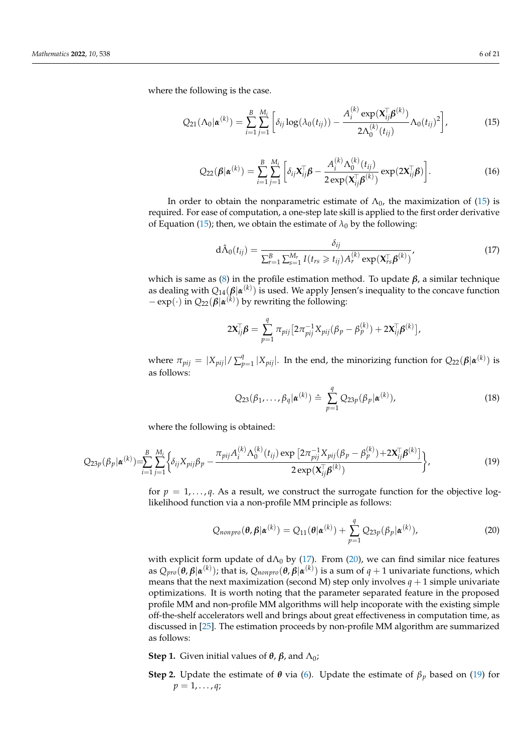where the following is the case.

<span id="page-5-0"></span>
$$
Q_{21}(\Lambda_0|\boldsymbol{\alpha}^{(k)}) = \sum_{i=1}^B \sum_{j=1}^{M_i} \left[ \delta_{ij} \log(\lambda_0(t_{ij})) - \frac{A_i^{(k)} \exp(\mathbf{X}_{ij}^{\mathsf{T}} \boldsymbol{\beta}^{(k)})}{2\Lambda_0^{(k)}(t_{ij})} \Lambda_0(t_{ij})^2 \right],
$$
(15)

$$
Q_{22}(\boldsymbol{\beta}|\boldsymbol{\alpha}^{(k)}) = \sum_{i=1}^{B} \sum_{j=1}^{M_i} \left[ \delta_{ij} \mathbf{X}_{ij}^{\mathsf{T}} \boldsymbol{\beta} - \frac{A_i^{(k)} \Lambda_0^{(k)}(t_{ij})}{2 \exp(\mathbf{X}_{ij}^{\mathsf{T}} \boldsymbol{\beta}^{(k)})} \exp(2\mathbf{X}_{ij}^{\mathsf{T}} \boldsymbol{\beta}) \right].
$$
 (16)

In order to obtain the nonparametric estimate of  $\Lambda_0$ , the maximization of [\(15\)](#page-5-0) is required. For ease of computation, a one-step late skill is applied to the first order derivative of Equation [\(15\)](#page-5-0); then, we obtain the estimate of  $\lambda_0$  by the following:

<span id="page-5-1"></span>
$$
d\hat{\Lambda}_0(t_{ij}) = \frac{\delta_{ij}}{\sum_{r=1}^B \sum_{s=1}^{M_r} I(t_{rs} \geq t_{ij}) A_r^{(k)} \exp(\mathbf{X}_{rs}^{\top} \boldsymbol{\beta}^{(k)})},
$$
(17)

which is same as [\(8\)](#page-3-2) in the profile estimation method. To update  $β$ , a similar technique as dealing with *Q*14(*β*|*α* (*k*) ) is used. We apply Jensen's inequality to the concave function  $-\exp(\cdot)$  in  $Q_{22}(\beta|\boldsymbol{\alpha}^{(k)})$  by rewriting the following:

$$
2\mathbf{X}_{ij}^{\mathsf{T}}\boldsymbol{\beta} = \sum_{p=1}^{q} \pi_{pij} \big[ 2\pi_{pij}^{-1} X_{pij} (\beta_p - \beta_p^{(k)}) + 2\mathbf{X}_{ij}^{\mathsf{T}}\boldsymbol{\beta}^{(k)} \big],
$$

where  $\pi_{pij} = |X_{pij}| / \sum_{k=1}^{q}$  $p_{p=1}^q |X_{pij}|$ . In the end, the minorizing function for  $Q_{22}(\boldsymbol{\beta}|\boldsymbol{\alpha}^{(k)})$  is as follows:

$$
Q_{23}(\beta_1, ..., \beta_q | \pmb{\alpha}^{(k)}) \triangleq \sum_{p=1}^q Q_{23p}(\beta_p | \pmb{\alpha}^{(k)}), \qquad (18)
$$

where the following is obtained:

<span id="page-5-3"></span>
$$
Q_{23p}(\beta_p|\boldsymbol{\alpha}^{(k)}) = \sum_{i=1}^{B} \sum_{j=1}^{M_i} \left\{ \delta_{ij} X_{pij} \beta_p - \frac{\pi_{pij} A_i^{(k)} \Lambda_0^{(k)}(t_{ij}) \exp \left[ 2\pi_{pij}^{-1} X_{pij} (\beta_p - \beta_p^{(k)}) + 2X_{ij}^{\top} \boldsymbol{\beta}^{(k)} \right] \right\},
$$
(19)

for  $p = 1, \ldots, q$ . As a result, we construct the surrogate function for the objective loglikelihood function via a non-profile MM principle as follows:

<span id="page-5-2"></span>
$$
Q_{nonpro}(\boldsymbol{\theta}, \boldsymbol{\beta}|\boldsymbol{\alpha}^{(k)}) = Q_{11}(\boldsymbol{\theta}|\boldsymbol{\alpha}^{(k)}) + \sum_{p=1}^{q} Q_{23p}(\beta_p|\boldsymbol{\alpha}^{(k)}),
$$
\n(20)

with explicit form update of  $dA_0$  by [\(17\)](#page-5-1). From [\(20\)](#page-5-2), we can find similar nice features as  $Q_{pro}(\bm{\theta},\bm{\beta}|\bm{\alpha}^{(k)});$  that is,  $Q_{nonpro}(\bm{\theta},\bm{\beta}|\bm{\alpha}^{(k)})$  is a sum of  $q+1$  univariate functions, which means that the next maximization (second M) step only involves  $q + 1$  simple univariate optimizations. It is worth noting that the parameter separated feature in the proposed profile MM and non-profile MM algorithms will help incoporate with the existing simple off-the-shelf accelerators well and brings about great effectiveness in computation time, as discussed in [\[25\]](#page-19-19). The estimation proceeds by non-profile MM algorithm are summarized as follows:

**Step 1.** Given initial values of  $θ$ ,  $β$ , and  $Λ$ <sub>0</sub>;

**Step 2.** Update the estimate of *θ* via [\(6\)](#page-3-0). Update the estimate of  $β<sub>p</sub>$  based on [\(19\)](#page-5-3) for  $p = 1, \ldots, q;$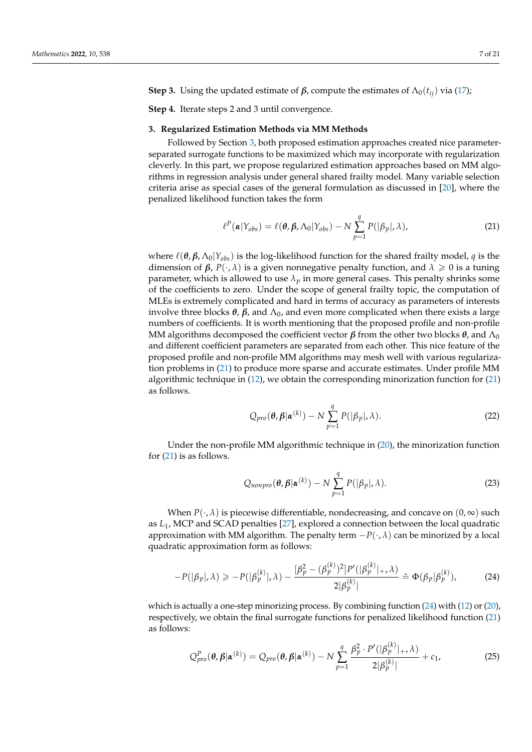**Step 3.** Using the updated estimate of  $\beta$ , compute the estimates of  $\Lambda_0(t_{ij})$  via [\(17\)](#page-5-1);

**Step 4.** Iterate steps 2 and 3 until convergence.

### <span id="page-6-0"></span>**3. Regularized Estimation Methods via MM Methods**

Followed by Section [3,](#page-6-0) both proposed estimation approaches created nice parameterseparated surrogate functions to be maximized which may incorporate with regularization cleverly. In this part, we propose regularized estimation approaches based on MM algorithms in regression analysis under general shared frailty model. Many variable selection criteria arise as special cases of the general formulation as discussed in [\[20\]](#page-19-15), where the penalized likelihood function takes the form

<span id="page-6-1"></span>
$$
\ell^{P}(\boldsymbol{\alpha}|Y_{obs}) = \ell(\boldsymbol{\theta}, \boldsymbol{\beta}, \Lambda_{0}|Y_{obs}) - N \sum_{p=1}^{q} P(|\beta_{p}|, \lambda), \qquad (21)
$$

where  $\ell(\theta, \beta, \Lambda_0|Y_{obs})$  is the log-likelihood function for the shared frailty model, *q* is the dimension of *β*, *P*(·, *λ*) is a given nonnegative penalty function, and  $λ ≥ 0$  is a tuning parameter, which is allowed to use  $\lambda_p$  in more general cases. This penalty shrinks some of the coefficients to zero. Under the scope of general frailty topic, the computation of MLEs is extremely complicated and hard in terms of accuracy as parameters of interests involve three blocks  $\theta$ ,  $\beta$ , and  $\Lambda$ <sub>0</sub>, and even more complicated when there exists a large numbers of coefficients. It is worth mentioning that the proposed profile and non-profile MM algorithms decomposed the coefficient vector  $\beta$  from the other two blocks  $\theta$ , and  $\Lambda_0$ and different coefficient parameters are separated from each other. This nice feature of the proposed profile and non-profile MM algorithms may mesh well with various regularization problems in [\(21\)](#page-6-1) to produce more sparse and accurate estimates. Under profile MM algorithmic technique in [\(12\)](#page-4-0), we obtain the corresponding minorization function for [\(21\)](#page-6-1) as follows.

$$
Q_{pro}(\boldsymbol{\theta}, \boldsymbol{\beta} | \boldsymbol{\alpha}^{(k)}) - N \sum_{p=1}^{q} P(|\beta_p|, \lambda).
$$
 (22)

Under the non-profile MM algorithmic technique in [\(20\)](#page-5-2), the minorization function for [\(21\)](#page-6-1) is as follows.

$$
Q_{nonpro}(\boldsymbol{\theta}, \boldsymbol{\beta}|\boldsymbol{\alpha}^{(k)}) - N \sum_{p=1}^{q} P(|\beta_p|, \lambda).
$$
 (23)

When  $P(\cdot, \lambda)$  is piecewise differentiable, nondecreasing, and concave on  $(0, \infty)$  such as *L*1, MCP and SCAD penalties [\[27\]](#page-19-22), explored a connection between the local quadratic approximation with MM algorithm. The penalty term  $-P(\cdot,\lambda)$  can be minorized by a local quadratic approximation form as follows:

<span id="page-6-2"></span>
$$
-P(|\beta_p|,\lambda) \geq -P(|\beta_p^{(k)}|,\lambda) - \frac{[\beta_p^2 - (\beta_p^{(k)})^2]P'(|\beta_p^{(k)}|, \lambda)}{2|\beta_p^{(k)}|} \triangleq \Phi(\beta_p|\beta_p^{(k)}), \quad (24)
$$

which is actually a one-step minorizing process. By combining function [\(24\)](#page-6-2) with [\(12\)](#page-4-0) or [\(20\)](#page-5-2), respectively, we obtain the final surrogate functions for penalized likelihood function [\(21\)](#page-6-1) as follows:

<span id="page-6-3"></span>
$$
Q_{pro}^{P}(\boldsymbol{\theta},\boldsymbol{\beta}|\boldsymbol{\alpha}^{(k)})=Q_{pro}(\boldsymbol{\theta},\boldsymbol{\beta}|\boldsymbol{\alpha}^{(k)})-N\sum_{p=1}^{q}\frac{\beta_{p}^{2}\cdot P'(|\beta_{p}^{(k)}|_{+},\lambda)}{2|\beta_{p}^{(k)}|}+c_{1},
$$
\n(25)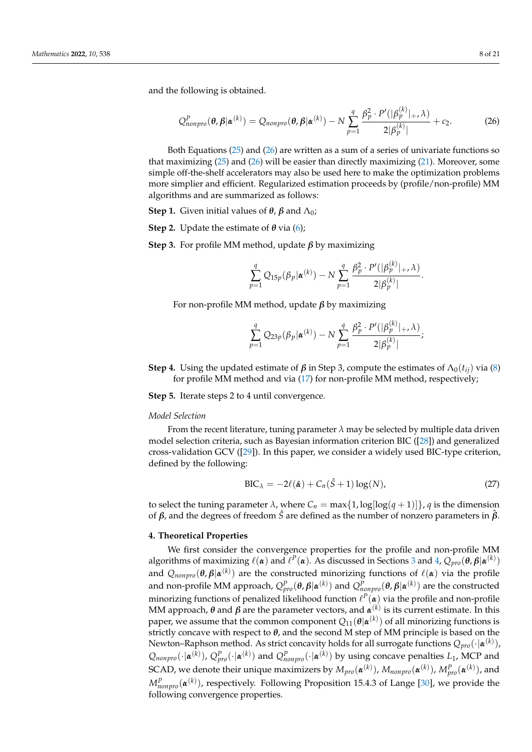and the following is obtained.

<span id="page-7-1"></span>
$$
Q_{nonpro}^{P}(\boldsymbol{\theta},\boldsymbol{\beta}|\boldsymbol{\alpha}^{(k)})=Q_{nonpro}(\boldsymbol{\theta},\boldsymbol{\beta}|\boldsymbol{\alpha}^{(k)})-N\sum_{p=1}^{q}\frac{\beta_{p}^{2}\cdot P'(|\beta_{p}^{(k)}|_{+},\lambda)}{2|\beta_{p}^{(k)}|}+c_{2}.
$$
 (26)

Both Equations [\(25\)](#page-6-3) and [\(26\)](#page-7-1) are written as a sum of a series of univariate functions so that maximizing [\(25\)](#page-6-3) and [\(26\)](#page-7-1) will be easier than directly maximizing [\(21\)](#page-6-1). Moreover, some simple off-the-shelf accelerators may also be used here to make the optimization problems more simplier and efficient. Regularized estimation proceeds by (profile/non-profile) MM algorithms and are summarized as follows:

**Step 1.** Given initial values of *θ*, *β* and  $Λ_0$ ;

**Step 2.** Update the estimate of *θ* via [\(6\)](#page-3-0);

**Step 3.** For profile MM method, update *β* by maximizing

$$
\sum_{p=1}^{q} Q_{15p}(\beta_p | \boldsymbol{\alpha}^{(k)}) - N \sum_{p=1}^{q} \frac{\beta_p^2 \cdot P'(|\beta_p^{(k)}|, \lambda)}{2|\beta_p^{(k)}|}.
$$

For non-profile MM method, update *β* by maximizing

$$
\sum_{p=1}^{q} Q_{23p}(\beta_p | \boldsymbol{\alpha}^{(k)}) - N \sum_{p=1}^{q} \frac{\beta_p^2 \cdot P'(|\beta_p^{(k)}|, \lambda)}{2|\beta_p^{(k)}|};
$$

**Step 4.** Using the updated estimate of  $\beta$  in Step 3, compute the estimates of  $\Lambda_0(t_{ij})$  via [\(8\)](#page-3-2) for profile MM method and via [\(17\)](#page-5-1) for non-profile MM method, respectively;

**Step 5.** Iterate steps 2 to 4 until convergence.

#### *Model Selection*

From the recent literature, tuning parameter  $\lambda$  may be selected by multiple data driven model selection criteria, such as Bayesian information criterion BIC ([\[28\]](#page-19-23)) and generalized cross-validation GCV ([\[29\]](#page-19-24)). In this paper, we consider a widely used BIC-type criterion, defined by the following:

$$
BIC_{\lambda} = -2\ell(\hat{\boldsymbol{\alpha}}) + C_n(\hat{S} + 1)\log(N), \qquad (27)
$$

to select the tuning parameter  $\lambda$ , where  $C_n = \max\{1, \log(\log(q+1))\}$ , *q* is the dimension of *β*, and the degrees of freedom *S*ˆ are defined as the number of nonzero parameters in *β*ˆ .

#### <span id="page-7-0"></span>**4. Theoretical Properties**

We first consider the convergence properties for the profile and non-profile MM algorithms of maximizing  $\ell(\alpha)$  and  $\ell^P(\alpha)$ . As discussed in Sections [3](#page-6-0) and [4,](#page-7-0)  $Q_{pro}(\theta, \beta | \alpha^{(k)})$ and  $Q_{nonpro}(\bm{\theta},\bm{\beta}|\bm{\alpha}^{(k)})$  are the constructed minorizing functions of  $\ell(\bm{\alpha})$  via the profile and non-profile MM approach,  $Q^P_{pro}(\bm{\theta},\bm{\beta}|\bm{\alpha}^{(k)})$  and  $Q^P_{nonpro}(\bm{\theta},\bm{\beta}|\bm{\alpha}^{(k)})$  are the constructed minorizing functions of penalized likelihood function  $\ell^P(\pmb{\alpha})$  via the profile and non-profile MM approach, *θ* and *β* are the parameter vectors, and *α* (*k*) is its current estimate. In this paper, we assume that the common component  $Q_{11}(\bm{\theta}|\bm{\alpha}^{(k)})$  of all minorizing functions is strictly concave with respect to *θ*, and the second M step of MM principle is based on the Newton–Raphson method. As strict concavity holds for all surrogate functions  $Q_{pro}(\cdot|\pmb{\alpha}^{(k)}),$  $Q_{nonpro}(\cdot|\boldsymbol{\alpha}^{(k)})$ ,  $Q_{pro}^P(\cdot|\boldsymbol{\alpha}^{(k)})$  and  $Q_{nonpro}^P(\cdot|\boldsymbol{\alpha}^{(k)})$  by using concave penalties  $L_1$ , MCP and  $SCAD$ , we denote their unique maximizers by  $M_{pro}(\pmb{\alpha}^{(k)}),$   $M_{nonpro}(\pmb{\alpha}^{(k)}),$   $M_{pro}^{P}(\pmb{\alpha}^{(k)}),$  and  $M_{nonpro}^{P}(\boldsymbol{\alpha}^{(k)})$ , respectively. Following Proposition 15.4.3 of Lange [\[30\]](#page-19-25), we provide the following convergence properties.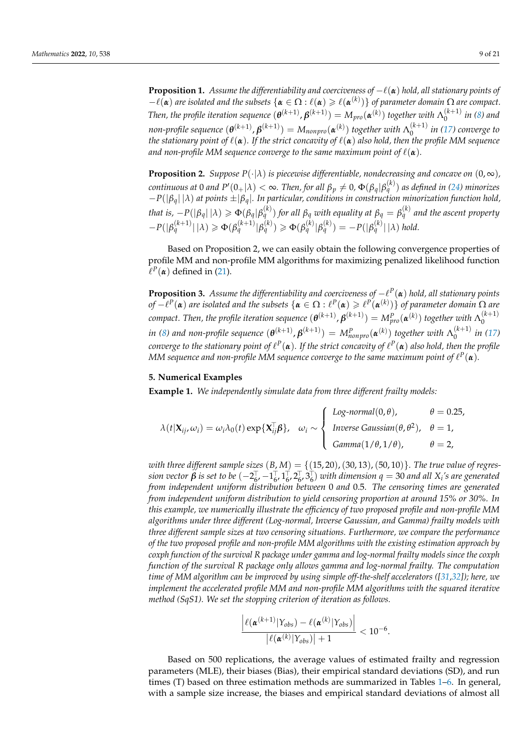**Proposition 1.** *Assume the differentiability and coerciveness of*  $-\ell(\alpha)$  *hold, all stationary points of*  $-\ell(\alpha)$  *are isolated and the subsets*  $\{\alpha \in \Omega : \ell(\alpha) \geqslant \ell(\alpha^{(k)})\}$  *of parameter domain*  $\Omega$  *are compact. Then, the profile iteration sequence*  $(\theta^{(k+1)}, \beta^{(k+1)}) = M_{pro}(\alpha^{(k)})$  *together with*  $\Lambda_0^{(k+1)}$  $\int_{0}^{(\kappa + 1)}$  *in [\(8\)](#page-3-2)* and *non-profile sequence*  $(\pmb{\theta}^{(k+1)},\pmb{\beta}^{(k+1)})=M_{nonpro}(\pmb{\alpha}^{(k)})$  together with  $\Lambda_0^{(k+1)}$ 0 *in [\(17\)](#page-5-1) converge to the stationary point of*  $\ell(\alpha)$ *. If the strict concavity of*  $\ell(\alpha)$  *also hold, then the profile MM sequence and non-profile MM sequence converge to the same maximum point of*  $\ell(\alpha)$ *.* 

**Proposition 2.** *Suppose*  $P(\cdot|\lambda)$  *is piecewise differentiable, nondecreasing and concave on*  $(0, \infty)$ *,*  $t$  *continuous at 0 and P'* (0+| $\lambda$ )  $<$   $\infty$ . Then, for all  $\beta_p\neq 0$ ,  $\Phi(\beta_q|\beta_q^{(k)})$  as defined in [\(24\)](#page-6-2) minorizes −*P*(|*βq*| |*λ*) *at points* ±|*βq*|*. In particular, conditions in construction minorization function hold,* that is,  $-P(|\beta_q|\,|\lambda) \geqslant \Phi(\beta_q|\beta_q^{(k)})$  for all  $\beta_q$  with equality at  $\beta_q=\beta_q^{(k)}$  and the ascent property  $-P(|\beta_q^{(k+1)}| |\lambda) \geq \Phi(\beta_q^{(k+1)}|\beta_q^{(k)}) \geq \Phi(\beta_q^{(k)}|\beta_q^{(k)}) = -P(|\beta_q^{(k)}| |\lambda) \text{ hold.}$ 

Based on Proposition 2, we can easily obtain the following convergence properties of profile MM and non-profile MM algorithms for maximizing penalized likelihood function  $\ell^P(\boldsymbol{\alpha})$  defined in [\(21\)](#page-6-1).

**Proposition 3.** *Assume the differentiability and coerciveness of* −` *P* (*α*) *hold, all stationary points*  $of - \ell^P(\alpha)$  are isolated and the subsets  $\{\alpha \in \Omega : \ell^P(\alpha) \geqslant \ell^P(\alpha^{(k)})\}$  of parameter domain  $\Omega$  are  $p$  compact. Then, the profile iteration sequence  $(\bm{\theta}^{(k+1)},\bm{\beta}^{(k+1)})=M_{pro}^P(\bm{\alpha}^{(k)})$  together with  $\Lambda_0^{(k+1)}$  $\mathbf{0}$  $i$ *n* [\(8\)](#page-3-2) and non-profile sequence  $(\bm{\theta}^{(k+1)}, \bm{\beta}^{(k+1)}) = M_{nonpro}^P(\bm{\alpha}^{(k)})$  together with  $\Lambda_0^{(k+1)}$  $\int_{0}^{(\kappa+1)}$  *in* [\(17\)](#page-5-1)  $\rho$  converge to the stationary point of  $\ell^P(\pmb{\alpha})$ . If the strict concavity of  $\ell^P(\pmb{\alpha})$  also hold, then the profile MM sequence and non-profile MM sequence converge to the same maximum point of  $\ell^P({\pmb{\alpha}})$ .

### <span id="page-8-0"></span>**5. Numerical Examples**

**Example 1.** *We independently simulate data from three different frailty models:*

$$
\lambda(t|\mathbf{X}_{ij}, \omega_i) = \omega_i \lambda_0(t) \exp{\{\mathbf{X}_{ij}^{\top} \boldsymbol{\beta}\}}, \quad \omega_i \sim \begin{cases} \text{Log-normal}(0, \theta), & \theta = 0.25, \\ \text{Inverse Gaussian}(\theta, \theta^2), & \theta = 1, \\ \text{Gamma}(1/\theta, 1/\theta), & \theta = 2, \end{cases}
$$

with three different sample sizes  $(B, M) = \{(15, 20), (30, 13), (50, 10)\}$ . The true value of regres $s$ *ion vector*  $\beta$  *is set to be*  $(-2_6^7, -1_6^7, 1_6^7, 2_6^7, 3_6^7)$  *with dimension*  $q = 30$  *and all*  $X_i$ *'s are generated from independent uniform distribution between* 0 *and* 0.5*. The censoring times are generated from independent uniform distribution to yield censoring proportion at around 15% or 30%. In this example, we numerically illustrate the efficiency of two proposed profile and non-profile MM algorithms under three different (Log-normal, Inverse Gaussian, and Gamma) frailty models with three different sample sizes at two censoring situations. Furthermore, we compare the performance of the two proposed profile and non-profile MM algorithms with the existing estimation approach by coxph function of the survival R package under gamma and log-normal frailty models since the coxph function of the survival R package only allows gamma and log-normal frailty. The computation time of MM algorithm can be improved by using simple off-the-shelf accelerators ([\[31](#page-19-26)[,32\]](#page-19-27)); here, we implement the accelerated profile MM and non-profile MM algorithms with the squared iterative method (SqS1). We set the stopping criterion of iteration as follows.*

$$
\frac{\left|\ell(\mathbf{\alpha}^{(k+1)}|\mathbf{Y}_{obs})-\ell(\mathbf{\alpha}^{(k)}|\mathbf{Y}_{obs})\right|}{\left|\ell(\mathbf{\alpha}^{(k)}|\mathbf{Y}_{obs})\right|+1} < 10^{-6}
$$

Based on 500 replications, the average values of estimated frailty and regression parameters (MLE), their biases (Bias), their empirical standard deviations (SD), and run times (T) based on three estimation methods are summarized in Tables [1](#page-9-0)[–6.](#page-14-0) In general, with a sample size increase, the biases and empirical standard deviations of almost all

.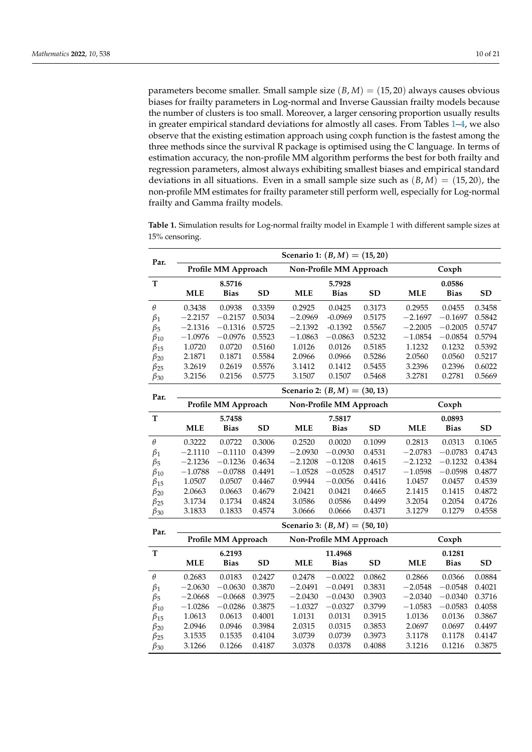parameters become smaller. Small sample size  $(B, M) = (15, 20)$  always causes obvious biases for frailty parameters in Log-normal and Inverse Gaussian frailty models because the number of clusters is too small. Moreover, a larger censoring proportion usually results in greater empirical standard deviations for almostly all cases. From Tables [1](#page-9-0)[–4,](#page-12-0) we also observe that the existing estimation approach using coxph function is the fastest among the three methods since the survival R package is optimised using the C language. In terms of estimation accuracy, the non-profile MM algorithm performs the best for both frailty and regression parameters, almost always exhibiting smallest biases and empirical standard deviations in all situations. Even in a small sample size such as  $(B, M) = (15, 20)$ , the non-profile MM estimates for frailty parameter still perform well, especially for Log-normal frailty and Gamma frailty models.

| Par.         |            |                     |           | Scenario 1: $(B, M) = (15, 20)$ |                         |           |            |             |           |  |
|--------------|------------|---------------------|-----------|---------------------------------|-------------------------|-----------|------------|-------------|-----------|--|
|              |            | Profile MM Approach |           |                                 | Non-Profile MM Approach |           | Coxph      |             |           |  |
| T            |            | 8.5716              |           |                                 | 5.7928                  |           |            | 0.0586      |           |  |
|              | <b>MLE</b> | <b>Bias</b>         | SD        | <b>MLE</b>                      | <b>Bias</b>             | <b>SD</b> | <b>MLE</b> | <b>Bias</b> | <b>SD</b> |  |
| $\theta$     | 0.3438     | 0.0938              | 0.3359    | 0.2925                          | 0.0425                  | 0.3173    | 0.2955     | 0.0455      | 0.3458    |  |
| $\beta_1$    | $-2.2157$  | $-0.2157$           | 0.5034    | $-2.0969$                       | $-0.0969$               | 0.5175    | $-2.1697$  | $-0.1697$   | 0.5842    |  |
| $\beta_5$    | $-2.1316$  | $-0.1316$           | 0.5725    | $-2.1392$                       | $-0.1392$               | 0.5567    | $-2.2005$  | $-0.2005$   | 0.5747    |  |
| $\beta_{10}$ | $-1.0976$  | $-0.0976$           | 0.5523    | $-1.0863$                       | $-0.0863$               | 0.5232    | $-1.0854$  | $-0.0854$   | 0.5794    |  |
| $\beta_{15}$ | 1.0720     | 0.0720              | 0.5160    | 1.0126                          | 0.0126                  | 0.5185    | 1.1232     | 0.1232      | 0.5392    |  |
| $\beta_{20}$ | 2.1871     | 0.1871              | 0.5584    | 2.0966                          | 0.0966                  | 0.5286    | 2.0560     | 0.0560      | 0.5217    |  |
| $\beta_{25}$ | 3.2619     | 0.2619              | 0.5576    | 3.1412                          | 0.1412                  | 0.5455    | 3.2396     | 0.2396      | 0.6022    |  |
| $\beta_{30}$ | 3.2156     | 0.2156              | 0.5775    | 3.1507                          | 0.1507                  | 0.5468    | 3.2781     | 0.2781      | 0.5669    |  |
| Par.         |            |                     |           | Scenario 2: $(B, M) = (30, 13)$ |                         |           |            |             |           |  |
|              |            | Profile MM Approach |           |                                 | Non-Profile MM Approach |           |            | Coxph       |           |  |
| $\mathbf T$  |            | 5.7458              |           |                                 | 7.5817                  |           |            | 0.0893      |           |  |
|              | <b>MLE</b> | <b>Bias</b>         | <b>SD</b> | <b>MLE</b>                      | <b>Bias</b>             | <b>SD</b> | <b>MLE</b> | <b>Bias</b> | <b>SD</b> |  |
| $\theta$     | 0.3222     | 0.0722              | 0.3006    | 0.2520                          | 0.0020                  | 0.1099    | 0.2813     | 0.0313      | 0.1065    |  |
| $\beta_1$    | $-2.1110$  | $-0.1110$           | 0.4399    | $-2.0930$                       | $-0.0930$               | 0.4531    | $-2.0783$  | $-0.0783$   | 0.4743    |  |
| $\beta_5$    | $-2.1236$  | $-0.1236$           | 0.4634    | $-2.1208$                       | $-0.1208$               | 0.4615    | $-2.1232$  | $-0.1232$   | 0.4384    |  |
| $\beta_{10}$ | $-1.0788$  | $-0.0788$           | 0.4491    | $-1.0528$                       | $-0.0528$               | 0.4517    | $-1.0598$  | $-0.0598$   | 0.4877    |  |
| $\beta_{15}$ | 1.0507     | 0.0507              | 0.4467    | 0.9944                          | $-0.0056$               | 0.4416    | 1.0457     | 0.0457      | 0.4539    |  |
| $\beta_{20}$ | 2.0663     | 0.0663              | 0.4679    | 2.0421                          | 0.0421                  | 0.4665    | 2.1415     | 0.1415      | 0.4872    |  |
| $\beta_{25}$ | 3.1734     | 0.1734              | 0.4824    | 3.0586                          | 0.0586                  | 0.4499    | 3.2054     | 0.2054      | 0.4726    |  |
| $\beta_{30}$ | 3.1833     | 0.1833              | 0.4574    | 3.0666                          | 0.0666                  | 0.4371    | 3.1279     | 0.1279      | 0.4558    |  |
| Par.         |            |                     |           | Scenario 3: $(B, M) = (50, 10)$ |                         |           |            |             |           |  |
|              |            | Profile MM Approach |           |                                 | Non-Profile MM Approach |           |            | Coxph       |           |  |
| т            |            | 6.2193              |           |                                 | 11.4968                 |           |            | 0.1281      |           |  |
|              | <b>MLE</b> | <b>Bias</b>         | <b>SD</b> | <b>MLE</b>                      | <b>Bias</b>             | <b>SD</b> | <b>MLE</b> | <b>Bias</b> | <b>SD</b> |  |
| $\theta$     | 0.2683     | 0.0183              | 0.2427    | 0.2478                          | $-0.0022$               | 0.0862    | 0.2866     | 0.0366      | 0.0884    |  |
| $\beta_1$    | $-2.0630$  | $-0.0630$           | 0.3870    | $-2.0491$                       | $-0.0491$               | 0.3831    | $-2.0548$  | $-0.0548$   | 0.4021    |  |
| $\beta_5$    | $-2.0668$  | $-0.0668$           | 0.3975    | $-2.0430$                       | $-0.0430$               | 0.3903    | $-2.0340$  | $-0.0340$   | 0.3716    |  |
| $\beta_{10}$ | $-1.0286$  | $-0.0286$           | 0.3875    | $-1.0327$                       | $-0.0327$               | 0.3799    | $-1.0583$  | $-0.0583$   | 0.4058    |  |
| $\beta_{15}$ | 1.0613     | 0.0613              | 0.4001    | 1.0131                          | 0.0131                  | 0.3915    | 1.0136     | 0.0136      | 0.3867    |  |
| $\beta_{20}$ | 2.0946     | 0.0946              | 0.3984    | 2.0315                          | 0.0315                  | 0.3853    | 2.0697     | 0.0697      | 0.4497    |  |
| $\beta_{25}$ | 3.1535     | 0.1535              | 0.4104    | 3.0739                          | 0.0739                  | 0.3973    | 3.1178     | 0.1178      | 0.4147    |  |
| $\beta_{30}$ | 3.1266     | 0.1266              | 0.4187    | 3.0378                          | 0.0378                  | 0.4088    | 3.1216     | 0.1216      | 0.3875    |  |

<span id="page-9-0"></span>**Table 1.** Simulation results for Log-normal frailty model in Example 1 with different sample sizes at 15% censoring.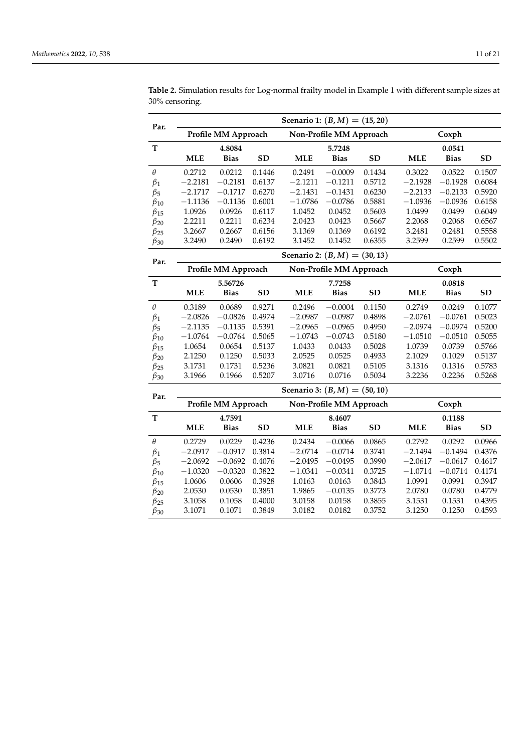| Par.                 |                                 |                     |           | Scenario 1: $(B, M) = (15, 20)$ |                         |           |            |             |           |  |
|----------------------|---------------------------------|---------------------|-----------|---------------------------------|-------------------------|-----------|------------|-------------|-----------|--|
|                      |                                 | Profile MM Approach |           |                                 | Non-Profile MM Approach |           |            | Coxph       |           |  |
| T                    |                                 | 4.8084              |           |                                 | 5.7248                  |           |            | 0.0541      |           |  |
|                      | <b>MLE</b>                      | <b>Bias</b>         | <b>SD</b> | <b>MLE</b>                      | <b>Bias</b>             | <b>SD</b> | <b>MLE</b> | <b>Bias</b> | <b>SD</b> |  |
| $\theta$             | 0.2712                          | 0.0212              | 0.1446    | 0.2491                          | $-0.0009$               | 0.1434    | 0.3022     | 0.0522      | 0.1507    |  |
| $\beta_1$            | $-2.2181$                       | $-0.2181$           | 0.6137    | $-2.1211$                       | $-0.1211$               | 0.5712    | $-2.1928$  | $-0.1928$   | 0.6084    |  |
| $\beta_5$            | $-2.1717$                       | $-0.1717$           | 0.6270    | $-2.1431$                       | $-0.1431$               | 0.6230    | $-2.2133$  | $-0.2133$   | 0.5920    |  |
| $\beta_{10}$         | $-1.1136$                       | $-0.1136$           | 0.6001    | $-1.0786$                       | $-0.0786$               | 0.5881    | $-1.0936$  | $-0.0936$   | 0.6158    |  |
| $\beta_{15}$         | 1.0926                          | 0.0926              | 0.6117    | 1.0452                          | 0.0452                  | 0.5603    | 1.0499     | 0.0499      | 0.6049    |  |
| $\beta_{20}$         | 2.2211                          | 0.2211              | 0.6234    | 2.0423                          | 0.0423                  | 0.5667    | 2.2068     | 0.2068      | 0.6567    |  |
| $\beta_{25}$         | 3.2667                          | 0.2667              | 0.6156    | 3.1369                          | 0.1369                  | 0.6192    | 3.2481     | 0.2481      | 0.5558    |  |
| $\beta_{30}$         | 3.2490                          | 0.2490              | 0.6192    | 3.1452                          | 0.1452                  | 0.6355    | 3.2599     | 0.2599      | 0.5502    |  |
| Par.                 | Scenario 2: $(B, M) = (30, 13)$ |                     |           |                                 |                         |           |            |             |           |  |
|                      | Profile MM Approach             |                     |           |                                 | Non-Profile MM Approach |           | Coxph      |             |           |  |
| T                    | 5.56726<br>7.7258               |                     |           | 0.0818                          |                         |           |            |             |           |  |
|                      | <b>MLE</b>                      | <b>Bias</b>         | <b>SD</b> | <b>MLE</b>                      | <b>Bias</b>             | <b>SD</b> | <b>MLE</b> | <b>Bias</b> | <b>SD</b> |  |
| $\theta$             | 0.3189                          | 0.0689              | 0.9271    | 0.2496                          | $-0.0004$               | 0.1150    | 0.2749     | 0.0249      | 0.1077    |  |
| $\beta_1$            | $-2.0826$                       | $-0.0826$           | 0.4974    | $-2.0987$                       | $-0.0987$               | 0.4898    | $-2.0761$  | $-0.0761$   | 0.5023    |  |
| $\beta$ <sub>5</sub> | $-2.1135$                       | $-0.1135$           | 0.5391    | $-2.0965$                       | $-0.0965$               | 0.4950    | $-2.0974$  | $-0.0974$   | 0.5200    |  |
| $\beta_{10}$         | $-1.0764$                       | $-0.0764$           | 0.5065    | $-1.0743$                       | $-0.0743$               | 0.5180    | $-1.0510$  | $-0.0510$   | 0.5055    |  |
| $\beta_{15}$         | 1.0654                          | 0.0654              | 0.5137    | 1.0433                          | 0.0433                  | 0.5028    | 1.0739     | 0.0739      | 0.5766    |  |
| $\beta_{20}$         | 2.1250                          | 0.1250              | 0.5033    | 2.0525                          | 0.0525                  | 0.4933    | 2.1029     | 0.1029      | 0.5137    |  |
| $\beta_{25}$         | 3.1731                          | 0.1731              | 0.5236    | 3.0821                          | 0.0821                  | 0.5105    | 3.1316     | 0.1316      | 0.5783    |  |
| $\beta_{30}$         | 3.1966                          | 0.1966              | 0.5207    | 3.0716                          | 0.0716                  | 0.5034    | 3.2236     | 0.2236      | 0.5268    |  |
| Par.                 |                                 |                     |           | Scenario 3: $(B, M) = (50, 10)$ |                         |           |            |             |           |  |
|                      |                                 | Profile MM Approach |           |                                 | Non-Profile MM Approach |           |            | Coxph       |           |  |
| T                    |                                 | 4.7591              |           |                                 | 8.4607                  |           |            | 0.1188      |           |  |
|                      | <b>MLE</b>                      | <b>Bias</b>         | <b>SD</b> | <b>MLE</b>                      | <b>Bias</b>             | <b>SD</b> | <b>MLE</b> | <b>Bias</b> | <b>SD</b> |  |
| $\theta$             | 0.2729                          | 0.0229              | 0.4236    | 0.2434                          | $-0.0066$               | 0.0865    | 0.2792     | 0.0292      | 0.0966    |  |
| $\beta_1$            | $-2.0917$                       | $-0.0917$           | 0.3814    | $-2.0714$                       | $-0.0714$               | 0.3741    | $-2.1494$  | $-0.1494$   | 0.4376    |  |
| $\beta_5$            | $-2.0692$                       | $-0.0692$           | 0.4076    | $-2.0495$                       | $-0.0495$               | 0.3990    | $-2.0617$  | $-0.0617$   | 0.4617    |  |
| $\beta_{10}$         | $-1.0320$                       | $-0.0320$           | 0.3822    | $-1.0341$                       | $-0.0341$               | 0.3725    | $-1.0714$  | $-0.0714$   | 0.4174    |  |
| $\beta_{15}$         | 1.0606                          | 0.0606              | 0.3928    | 1.0163                          | 0.0163                  | 0.3843    | 1.0991     | 0.0991      | 0.3947    |  |
| $\beta_{20}$         | 2.0530                          | 0.0530              | 0.3851    | 1.9865                          | $-0.0135$               | 0.3773    | 2.0780     | 0.0780      | 0.4779    |  |
| $\beta_{25}$         | 3.1058                          | 0.1058              | 0.4000    | 3.0158                          | 0.0158                  | 0.3855    | 3.1531     | 0.1531      | 0.4395    |  |
| $\beta_{30}$         | 3.1071                          | 0.1071              | 0.3849    | 3.0182                          | 0.0182                  | 0.3752    | 3.1250     | 0.1250      | 0.4593    |  |

**Table 2.** Simulation results for Log-normal frailty model in Example 1 with different sample sizes at 30% censoring.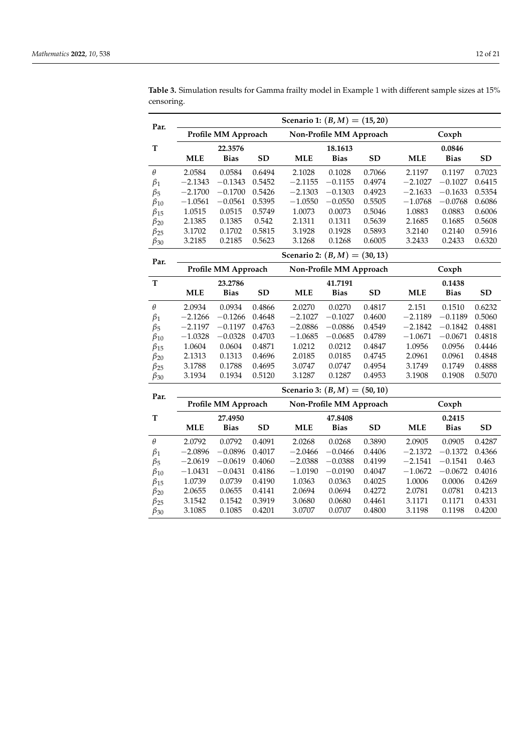| Par.                 |                                                |                     |           | Scenario 1: $(B, M) = (15, 20)$ |                         |           |            |             |           |
|----------------------|------------------------------------------------|---------------------|-----------|---------------------------------|-------------------------|-----------|------------|-------------|-----------|
|                      |                                                | Profile MM Approach |           |                                 | Non-Profile MM Approach |           |            | Coxph       |           |
| T                    |                                                | 22.3576             |           |                                 | 18.1613                 |           |            | 0.0846      |           |
|                      | <b>MLE</b>                                     | <b>Bias</b>         | <b>SD</b> | <b>MLE</b>                      | <b>Bias</b>             | <b>SD</b> | <b>MLE</b> | <b>Bias</b> | <b>SD</b> |
| $\theta$             | 2.0584                                         | 0.0584              | 0.6494    | 2.1028                          | 0.1028                  | 0.7066    | 2.1197     | 0.1197      | 0.7023    |
| $\beta_1$            | $-2.1343$                                      | $-0.1343$           | 0.5452    | $-2.1155$                       | $-0.1155$               | 0.4974    | $-2.1027$  | $-0.1027$   | 0.6415    |
| $\beta_5$            | $-2.1700$                                      | $-0.1700$           | 0.5426    | $-2.1303$                       | $-0.1303$               | 0.4923    | $-2.1633$  | $-0.1633$   | 0.5354    |
| $\beta_{10}$         | $-1.0561$                                      | $-0.0561$           | 0.5395    | $-1.0550$                       | $-0.0550$               | 0.5505    | $-1.0768$  | $-0.0768$   | 0.6086    |
| $\beta_{15}$         | 1.0515                                         | 0.0515              | 0.5749    | 1.0073                          | 0.0073                  | 0.5046    | 1.0883     | 0.0883      | 0.6006    |
| $\beta_{20}$         | 2.1385                                         | 0.1385              | 0.542     | 2.1311                          | 0.1311                  | 0.5639    | 2.1685     | 0.1685      | 0.5608    |
| $\beta_{25}$         | 3.1702                                         | 0.1702              | 0.5815    | 3.1928                          | 0.1928                  | 0.5893    | 3.2140     | 0.2140      | 0.5916    |
| $\beta_{30}$         | 3.2185                                         | 0.2185              | 0.5623    | 3.1268                          | 0.1268                  | 0.6005    | 3.2433     | 0.2433      | 0.6320    |
| Par.                 |                                                |                     |           | Scenario 2: $(B, M) = (30, 13)$ |                         |           |            |             |           |
|                      | Profile MM Approach<br>Non-Profile MM Approach |                     |           |                                 | Coxph                   |           |            |             |           |
| $\mathbf T$          |                                                | 23.2786<br>41.7191  |           |                                 | 0.1438                  |           |            |             |           |
|                      | <b>MLE</b>                                     | <b>Bias</b>         | <b>SD</b> | <b>MLE</b>                      | <b>Bias</b>             | <b>SD</b> | <b>MLE</b> | <b>Bias</b> | <b>SD</b> |
| $\theta$             | 2.0934                                         | 0.0934              | 0.4866    | 2.0270                          | 0.0270                  | 0.4817    | 2.151      | 0.1510      | 0.6232    |
| $\beta_1$            | $-2.1266$                                      | $-0.1266$           | 0.4648    | $-2.1027$                       | $-0.1027$               | 0.4600    | $-2.1189$  | $-0.1189$   | 0.5060    |
| $\beta_5$            | $-2.1197$                                      | $-0.1197$           | 0.4763    | $-2.0886$                       | $-0.0886$               | 0.4549    | $-2.1842$  | $-0.1842$   | 0.4881    |
| $\beta_{10}$         | $-1.0328$                                      | $-0.0328$           | 0.4703    | $-1.0685$                       | $-0.0685$               | 0.4789    | $-1.0671$  | $-0.0671$   | 0.4818    |
| $\beta_{15}$         | 1.0604                                         | 0.0604              | 0.4871    | 1.0212                          | 0.0212                  | 0.4847    | 1.0956     | 0.0956      | 0.4446    |
| $\beta_{20}$         | 2.1313                                         | 0.1313              | 0.4696    | 2.0185                          | 0.0185                  | 0.4745    | 2.0961     | 0.0961      | 0.4848    |
| $\beta_{25}$         | 3.1788                                         | 0.1788              | 0.4695    | 3.0747                          | 0.0747                  | 0.4954    | 3.1749     | 0.1749      | 0.4888    |
| $\beta_{30}$         | 3.1934                                         | 0.1934              | 0.5120    | 3.1287                          | 0.1287                  | 0.4953    | 3.1908     | 0.1908      | 0.5070    |
| Par.                 |                                                |                     |           | Scenario 3: $(B, M) = (50, 10)$ |                         |           |            |             |           |
|                      |                                                | Profile MM Approach |           |                                 | Non-Profile MM Approach |           |            | Coxph       |           |
| T                    |                                                | 27.4950             |           |                                 | 47.8408                 |           |            | 0.2415      |           |
|                      | <b>MLE</b>                                     | <b>Bias</b>         | <b>SD</b> | <b>MLE</b>                      | <b>Bias</b>             | <b>SD</b> | <b>MLE</b> | <b>Bias</b> | <b>SD</b> |
| $\theta$             | 2.0792                                         | 0.0792              | 0.4091    | 2.0268                          | 0.0268                  | 0.3890    | 2.0905     | 0.0905      | 0.4287    |
| $\beta_1$            | $-2.0896$                                      | $-0.0896$           | 0.4017    | $-2.0466$                       | $-0.0466$               | 0.4406    | $-2.1372$  | $-0.1372$   | 0.4366    |
| $\beta$ <sub>5</sub> | $-2.0619$                                      | $-0.0619$           | 0.4060    | $-2.0388$                       | $-0.0388$               | 0.4199    | $-2.1541$  | $-0.1541$   | 0.463     |
| $\beta_{10}$         | $-1.0431$                                      | $-0.0431$           | 0.4186    | $-1.0190$                       | $-0.0190$               | 0.4047    | $-1.0672$  | $-0.0672$   | 0.4016    |
| $\beta_{15}$         | 1.0739                                         | 0.0739              | 0.4190    | 1.0363                          | 0.0363                  | 0.4025    | 1.0006     | 0.0006      | 0.4269    |
| $\beta_{20}$         | 2.0655                                         | 0.0655              | 0.4141    | 2.0694                          | 0.0694                  | 0.4272    | 2.0781     | 0.0781      | 0.4213    |
| $\beta_{25}$         | 3.1542                                         | 0.1542              | 0.3919    | 3.0680                          | 0.0680                  | 0.4461    | 3.1171     | 0.1171      | 0.4331    |
| $\beta_{30}$         | 3.1085                                         | 0.1085              | 0.4201    | 3.0707                          | 0.0707                  | 0.4800    | 3.1198     | 0.1198      | 0.4200    |

**Table 3.** Simulation results for Gamma frailty model in Example 1 with different sample sizes at 15% censoring.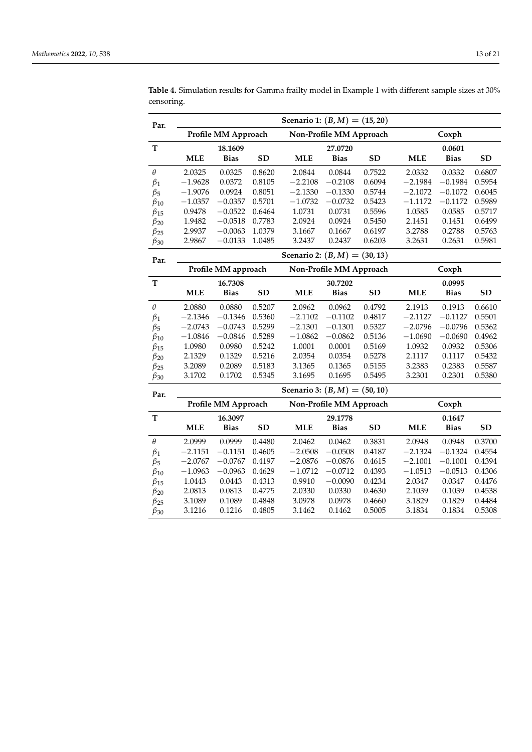| Par.<br>Profile MM Approach<br>Non-Profile MM Approach<br>Coxph<br>T<br>18.1609<br>27.0720<br>0.0601<br><b>MLE</b><br><b>SD</b><br><b>MLE</b><br><b>SD</b><br><b>MLE</b><br><b>Bias</b><br><b>Bias</b><br><b>Bias</b><br>$\theta$<br>2.0325<br>0.0325<br>0.8620<br>2.0844<br>0.0844<br>0.7522<br>2.0332<br>0.0332<br>$-1.9628$<br>0.0372<br>0.8105<br>$-2.2108$<br>$-0.2108$<br>0.6094<br>$-2.1984$<br>$-0.1984$<br>$\beta_1$<br>$-1.9076$<br>0.8051<br>0.0924<br>$-2.1330$<br>$-0.1330$<br>0.5744<br>$-2.1072$<br>$-0.1072$<br>$\beta_5$<br>0.5701<br>$-1.0357$<br>$-0.0357$<br>$-1.0732$<br>$-0.0732$<br>0.5423<br>$-1.1172$<br>$-0.1172$<br>$\beta_{10}$<br>0.5596<br>0.9478<br>$-0.0522$<br>0.6464<br>1.0731<br>0.0731<br>1.0585<br>0.0585<br>$\beta_{15}$ | <b>SD</b><br>0.6807<br>0.5954<br>0.6045<br>0.5989<br>0.5717<br>0.6499<br>0.5763 |
|----------------------------------------------------------------------------------------------------------------------------------------------------------------------------------------------------------------------------------------------------------------------------------------------------------------------------------------------------------------------------------------------------------------------------------------------------------------------------------------------------------------------------------------------------------------------------------------------------------------------------------------------------------------------------------------------------------------------------------------------------------------|---------------------------------------------------------------------------------|
|                                                                                                                                                                                                                                                                                                                                                                                                                                                                                                                                                                                                                                                                                                                                                                |                                                                                 |
|                                                                                                                                                                                                                                                                                                                                                                                                                                                                                                                                                                                                                                                                                                                                                                |                                                                                 |
|                                                                                                                                                                                                                                                                                                                                                                                                                                                                                                                                                                                                                                                                                                                                                                |                                                                                 |
|                                                                                                                                                                                                                                                                                                                                                                                                                                                                                                                                                                                                                                                                                                                                                                |                                                                                 |
|                                                                                                                                                                                                                                                                                                                                                                                                                                                                                                                                                                                                                                                                                                                                                                |                                                                                 |
|                                                                                                                                                                                                                                                                                                                                                                                                                                                                                                                                                                                                                                                                                                                                                                |                                                                                 |
|                                                                                                                                                                                                                                                                                                                                                                                                                                                                                                                                                                                                                                                                                                                                                                |                                                                                 |
|                                                                                                                                                                                                                                                                                                                                                                                                                                                                                                                                                                                                                                                                                                                                                                |                                                                                 |
| 0.7783<br>2.0924<br>0.0924<br>0.5450<br>1.9482<br>$-0.0518$<br>2.1451<br>0.1451<br>$\beta_{20}$                                                                                                                                                                                                                                                                                                                                                                                                                                                                                                                                                                                                                                                                |                                                                                 |
| 2.9937<br>1.0379<br>0.1667<br>0.6197<br>3.2788<br>0.2788<br>$-0.0063$<br>3.1667<br>$\beta_{25}$                                                                                                                                                                                                                                                                                                                                                                                                                                                                                                                                                                                                                                                                |                                                                                 |
| 2.9867<br>$-0.0133$<br>1.0485<br>3.2437<br>0.2437<br>0.6203<br>3.2631<br>0.2631<br>$\beta_{30}$                                                                                                                                                                                                                                                                                                                                                                                                                                                                                                                                                                                                                                                                | 0.5981                                                                          |
| Scenario 2: $(B, M) = (30, 13)$<br>Par.                                                                                                                                                                                                                                                                                                                                                                                                                                                                                                                                                                                                                                                                                                                        |                                                                                 |
| Profile MM approach<br>Non-Profile MM Approach<br>Coxph                                                                                                                                                                                                                                                                                                                                                                                                                                                                                                                                                                                                                                                                                                        |                                                                                 |
| T<br>16.7308<br>30.7202<br>0.0995                                                                                                                                                                                                                                                                                                                                                                                                                                                                                                                                                                                                                                                                                                                              |                                                                                 |
| <b>SD</b><br><b>MLE</b><br><b>Bias</b><br><b>MLE</b><br><b>Bias</b><br><b>SD</b><br><b>MLE</b><br><b>Bias</b>                                                                                                                                                                                                                                                                                                                                                                                                                                                                                                                                                                                                                                                  | <b>SD</b>                                                                       |
| $\theta$<br>0.5207<br>2.0880<br>0.0880<br>2.0962<br>0.0962<br>0.4792<br>2.1913<br>0.1913                                                                                                                                                                                                                                                                                                                                                                                                                                                                                                                                                                                                                                                                       | 0.6610                                                                          |
| $-2.1346$<br>$-0.1346$<br>0.5360<br>$-2.1102$<br>$-0.1102$<br>0.4817<br>$-2.1127$<br>$-0.1127$<br>$\beta_1$                                                                                                                                                                                                                                                                                                                                                                                                                                                                                                                                                                                                                                                    | 0.5501                                                                          |
| 0.5299<br>$-2.1301$<br>$-0.1301$<br>0.5327<br>$-2.0796$<br>$-2.0743$<br>$-0.0743$<br>$-0.0796$<br>$\beta_5$                                                                                                                                                                                                                                                                                                                                                                                                                                                                                                                                                                                                                                                    | 0.5362                                                                          |
| 0.5289<br>0.5136<br>$-0.0690$<br>$-1.0846$<br>$-0.0846$<br>$-1.0862$<br>$-0.0862$<br>$-1.0690$<br>$\beta_{10}$                                                                                                                                                                                                                                                                                                                                                                                                                                                                                                                                                                                                                                                 | 0.4962                                                                          |
| 1.0980<br>0.0980<br>0.5242<br>1.0001<br>0.0001<br>0.5169<br>1.0932<br>0.0932<br>$\beta_{15}$                                                                                                                                                                                                                                                                                                                                                                                                                                                                                                                                                                                                                                                                   | 0.5306                                                                          |
| 2.1329<br>0.1329<br>0.5216<br>2.0354<br>0.0354<br>0.5278<br>2.1117<br>0.1117<br>$\beta_{20}$                                                                                                                                                                                                                                                                                                                                                                                                                                                                                                                                                                                                                                                                   | 0.5432                                                                          |
| 3.2089<br>0.5183<br>3.1365<br>3.2383<br>0.2383<br>0.2089<br>0.1365<br>0.5155<br>$\beta_{25}$                                                                                                                                                                                                                                                                                                                                                                                                                                                                                                                                                                                                                                                                   | 0.5587                                                                          |
| 3.1702<br>0.1702<br>0.5345<br>3.1695<br>0.1695<br>0.5495<br>3.2301<br>0.2301<br>$\beta_{30}$                                                                                                                                                                                                                                                                                                                                                                                                                                                                                                                                                                                                                                                                   | 0.5380                                                                          |
| Scenario 3: $(B, M) = (50, 10)$<br>Par.                                                                                                                                                                                                                                                                                                                                                                                                                                                                                                                                                                                                                                                                                                                        |                                                                                 |
| Profile MM Approach<br>Non-Profile MM Approach<br>Coxph                                                                                                                                                                                                                                                                                                                                                                                                                                                                                                                                                                                                                                                                                                        |                                                                                 |
| T<br>16.3097<br>29.1778<br>0.1647                                                                                                                                                                                                                                                                                                                                                                                                                                                                                                                                                                                                                                                                                                                              |                                                                                 |
| <b>MLE</b><br><b>Bias</b><br><b>SD</b><br><b>MLE</b><br><b>Bias</b><br><b>SD</b><br><b>MLE</b><br><b>Bias</b>                                                                                                                                                                                                                                                                                                                                                                                                                                                                                                                                                                                                                                                  | <b>SD</b>                                                                       |
| $\theta$<br>2.0999<br>0.0999<br>0.4480<br>2.0462<br>0.0462<br>0.3831<br>2.0948<br>0.0948                                                                                                                                                                                                                                                                                                                                                                                                                                                                                                                                                                                                                                                                       | 0.3700                                                                          |
| $-2.0508$<br>$-2.1324$<br>$-2.1151$<br>$-0.1151$<br>0.4605<br>$-0.0508$<br>0.4187<br>$-0.1324$<br>$\beta_1$                                                                                                                                                                                                                                                                                                                                                                                                                                                                                                                                                                                                                                                    | 0.4554                                                                          |
| 0.4197<br>$-2.0876$<br>$-0.0876$<br>$-2.1001$<br>$-0.1001$<br>$-2.0767$<br>$-0.0767$<br>0.4615<br>$\beta_5$                                                                                                                                                                                                                                                                                                                                                                                                                                                                                                                                                                                                                                                    | 0.4394                                                                          |
| $-1.0963$<br>$-0.0963$<br>0.4629<br>$-1.0712$<br>$-0.0712$<br>0.4393<br>$-1.0513$<br>$-0.0513$<br>$\beta_{10}$                                                                                                                                                                                                                                                                                                                                                                                                                                                                                                                                                                                                                                                 | 0.4306                                                                          |
| 0.9910<br>1.0443<br>0.0443<br>0.4313<br>$-0.0090$<br>0.4234<br>2.0347<br>0.0347<br>$\beta_{15}$                                                                                                                                                                                                                                                                                                                                                                                                                                                                                                                                                                                                                                                                | 0.4476                                                                          |
| 2.0813<br>0.0813<br>0.4775<br>2.0330<br>0.0330<br>0.4630<br>0.1039<br>2.1039<br>$\beta_{20}$                                                                                                                                                                                                                                                                                                                                                                                                                                                                                                                                                                                                                                                                   | 0.4538                                                                          |
| 3.1089<br>0.1089<br>0.4848<br>3.0978<br>0.0978<br>0.4660<br>3.1829<br>0.1829<br>$\beta_{25}$                                                                                                                                                                                                                                                                                                                                                                                                                                                                                                                                                                                                                                                                   | 0.4484                                                                          |
| 3.1216<br>0.1216<br>0.4805<br>3.1462<br>0.1462<br>0.5005<br>3.1834<br>0.1834<br>$\beta_{30}$                                                                                                                                                                                                                                                                                                                                                                                                                                                                                                                                                                                                                                                                   | 0.5308                                                                          |

<span id="page-12-0"></span>**Table 4.** Simulation results for Gamma frailty model in Example 1 with different sample sizes at 30% censoring.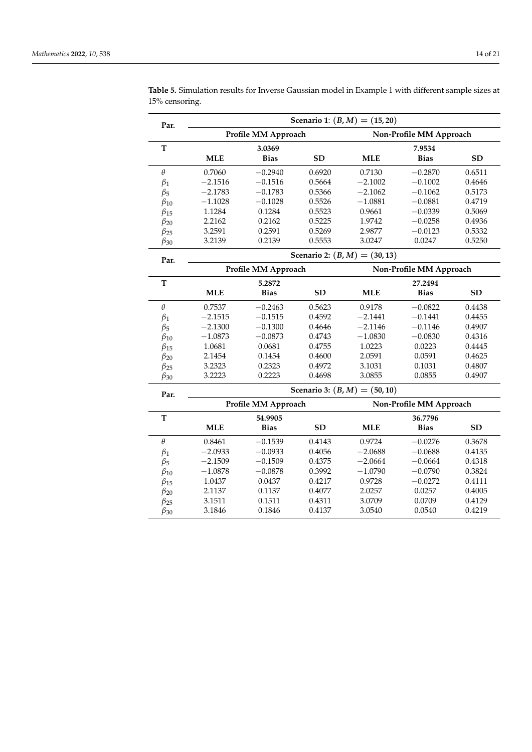| Scenario 1: $(B, M) = (15, 20)$<br>Par. |            |                     |           |                                 |                         |           |
|-----------------------------------------|------------|---------------------|-----------|---------------------------------|-------------------------|-----------|
|                                         |            | Profile MM Approach |           |                                 | Non-Profile MM Approach |           |
| T                                       |            | 3.0369              |           |                                 | 7.9534                  |           |
|                                         | <b>MLE</b> | <b>Bias</b>         | <b>SD</b> | <b>MLE</b>                      | <b>Bias</b>             | <b>SD</b> |
| $\theta$                                | 0.7060     | $-0.2940$           | 0.6920    | 0.7130                          | $-0.2870$               | 0.6511    |
| $\beta_1$                               | $-2.1516$  | $-0.1516$           | 0.5664    | $-2.1002$                       | $-0.1002$               | 0.4646    |
| $\beta_5$                               | $-2.1783$  | $-0.1783$           | 0.5366    | $-2.1062$                       | $-0.1062$               | 0.5173    |
| $\beta_{10}$                            | $-1.1028$  | $-0.1028$           | 0.5526    | $-1.0881$                       | $-0.0881$               | 0.4719    |
| $\beta_{15}$                            | 1.1284     | 0.1284              | 0.5523    | 0.9661                          | $-0.0339$               | 0.5069    |
| $\beta_{20}$                            | 2.2162     | 0.2162              | 0.5225    | 1.9742                          | $-0.0258$               | 0.4936    |
| $\beta_{25}$                            | 3.2591     | 0.2591              | 0.5269    | 2.9877                          | $-0.0123$               | 0.5332    |
| $\beta_{30}$                            | 3.2139     | 0.2139              | 0.5553    | 3.0247                          | 0.0247                  | 0.5250    |
| Par.                                    |            |                     |           | Scenario 2: $(B, M) = (30, 13)$ |                         |           |
|                                         |            | Profile MM Approach |           | Non-Profile MM Approach         |                         |           |
| $\mathbf T$                             | 5.2872     |                     |           |                                 | 27.2494                 |           |
|                                         | <b>MLE</b> | <b>Bias</b>         | <b>SD</b> | <b>MLE</b>                      | <b>Bias</b>             | <b>SD</b> |
| $\theta$                                | 0.7537     | $-0.2463$           | 0.5623    | 0.9178                          | $-0.0822$               | 0.4438    |
| $\beta_1$                               | $-2.1515$  | $-0.1515$           | 0.4592    | $-2.1441$                       | $-0.1441$               | 0.4455    |
| $\beta_5$                               | $-2.1300$  | $-0.1300$           | 0.4646    | $-2.1146$                       | $-0.1146$               | 0.4907    |
| $\beta_{10}$                            | $-1.0873$  | $-0.0873$           | 0.4743    | $-1.0830$                       | $-0.0830$               | 0.4316    |
| $\beta_{15}$                            | 1.0681     | 0.0681              | 0.4755    | 1.0223                          | 0.0223                  | 0.4445    |
| $\beta_{20}$                            | 2.1454     | 0.1454              | 0.4600    | 2.0591                          | 0.0591                  | 0.4625    |
| $\beta_{25}$                            | 3.2323     | 0.2323              | 0.4972    | 3.1031                          | 0.1031                  | 0.4807    |
| $\beta_{30}$                            | 3.2223     | 0.2223              | 0.4698    | 3.0855                          | 0.0855                  | 0.4907    |
| Par.                                    |            |                     |           | Scenario 3: $(B, M) = (50, 10)$ |                         |           |
|                                         |            | Profile MM Approach |           |                                 | Non-Profile MM Approach |           |
| T                                       |            | 54.9905             |           |                                 | 36.7796                 |           |
|                                         | <b>MLE</b> | <b>Bias</b>         | <b>SD</b> | <b>MLE</b>                      | <b>Bias</b>             | <b>SD</b> |
| $\theta$                                | 0.8461     | $-0.1539$           | 0.4143    | 0.9724                          | $-0.0276$               | 0.3678    |
| $\beta_1$                               | $-2.0933$  | $-0.0933$           | 0.4056    | $-2.0688$                       | $-0.0688$               | 0.4135    |
| $\beta_5$                               | $-2.1509$  | $-0.1509$           | 0.4375    | $-2.0664$                       | $-0.0664$               | 0.4318    |
| $\beta_{10}$                            | $-1.0878$  | $-0.0878$           | 0.3992    | $-1.0790$                       | $-0.0790$               | 0.3824    |
| $\beta_{15}$                            | 1.0437     | 0.0437              | 0.4217    | 0.9728                          | $-0.0272$               | 0.4111    |
| $\beta_{20}$                            | 2.1137     | 0.1137              | 0.4077    | 2.0257                          | 0.0257                  | 0.4005    |
| $\beta_{25}$                            | 3.1511     | 0.1511              | 0.4311    | 3.0709                          | 0.0709                  | 0.4129    |
| $\beta_{30}$                            | 3.1846     | 0.1846              | 0.4137    | 3.0540                          | 0.0540                  | 0.4219    |

**Table 5.** Simulation results for Inverse Gaussian model in Example 1 with different sample sizes at 15% censoring.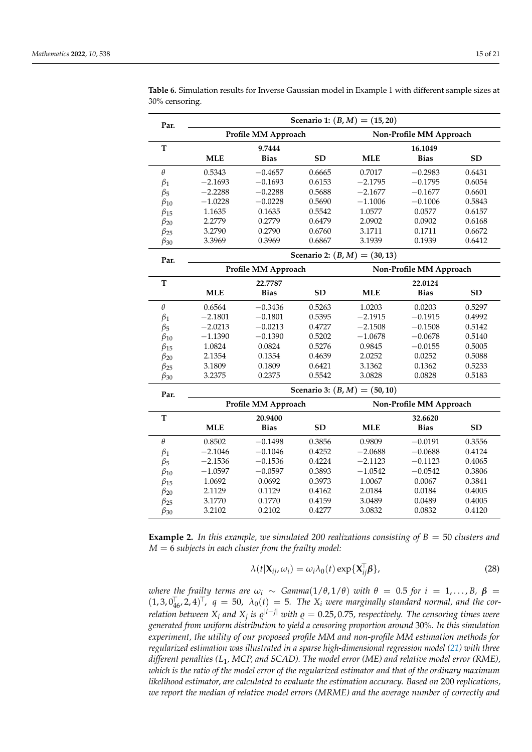| Par.         |                                 | Scenario 1: $(B, M) = (15, 20)$ |           |                                 |                         |           |  |  |  |  |
|--------------|---------------------------------|---------------------------------|-----------|---------------------------------|-------------------------|-----------|--|--|--|--|
|              |                                 | Profile MM Approach             |           |                                 | Non-Profile MM Approach |           |  |  |  |  |
| T            |                                 | 9.7444                          |           |                                 | 16.1049                 |           |  |  |  |  |
|              | <b>MLE</b>                      | <b>Bias</b>                     | <b>SD</b> | <b>MLE</b>                      | <b>Bias</b>             | <b>SD</b> |  |  |  |  |
| $\theta$     | 0.5343                          | $-0.4657$                       | 0.6665    | 0.7017                          | $-0.2983$               | 0.6431    |  |  |  |  |
| $\beta_1$    | $-2.1693$                       | $-0.1693$                       | 0.6153    | $-2.1795$                       | $-0.1795$               | 0.6054    |  |  |  |  |
| $\beta_5$    | $-2.2288$                       | $-0.2288$                       | 0.5688    | $-2.1677$                       | $-0.1677$               | 0.6601    |  |  |  |  |
| $\beta_{10}$ | $-1.0228$                       | $-0.0228$                       | 0.5690    | $-1.1006$                       | $-0.1006$               | 0.5843    |  |  |  |  |
| $\beta_{15}$ | 1.1635                          | 0.1635                          | 0.5542    | 1.0577                          | 0.0577                  | 0.6157    |  |  |  |  |
| $\beta_{20}$ | 2.2779                          | 0.2779                          | 0.6479    | 2.0902                          | 0.0902                  | 0.6168    |  |  |  |  |
| $\beta_{25}$ | 3.2790                          | 0.2790                          | 0.6760    | 3.1711                          | 0.1711                  | 0.6672    |  |  |  |  |
| $\beta_{30}$ | 3.3969                          | 0.3969                          | 0.6867    | 3.1939                          | 0.1939                  | 0.6412    |  |  |  |  |
| Par.         | Scenario 2: $(B, M) = (30, 13)$ |                                 |           |                                 |                         |           |  |  |  |  |
|              |                                 | Profile MM Approach             |           |                                 | Non-Profile MM Approach |           |  |  |  |  |
| T            | 22.7787                         |                                 |           |                                 | 22.0124                 |           |  |  |  |  |
|              | <b>MLE</b>                      | <b>Bias</b>                     | <b>SD</b> | <b>MLE</b>                      | <b>Bias</b>             | <b>SD</b> |  |  |  |  |
| $\theta$     | 0.6564                          | $-0.3436$                       | 0.5263    | 1.0203                          | 0.0203                  | 0.5297    |  |  |  |  |
| $\beta_1$    | $-2.1801$                       | $-0.1801$                       | 0.5395    | $-2.1915$                       | $-0.1915$               | 0.4992    |  |  |  |  |
| $\beta_5$    | $-2.0213$                       | $-0.0213$                       | 0.4727    | $-2.1508$                       | $-0.1508$               | 0.5142    |  |  |  |  |
| $\beta_{10}$ | $-1.1390$                       | $-0.1390$                       | 0.5202    | $-1.0678$                       | $-0.0678$               | 0.5140    |  |  |  |  |
| $\beta_{15}$ | 1.0824                          | 0.0824                          | 0.5276    | 0.9845                          | $-0.0155$               | 0.5005    |  |  |  |  |
| $\beta_{20}$ | 2.1354                          | 0.1354                          | 0.4639    | 2.0252                          | 0.0252                  | 0.5088    |  |  |  |  |
| $\beta_{25}$ | 3.1809                          | 0.1809                          | 0.6421    | 3.1362                          | 0.1362                  | 0.5233    |  |  |  |  |
| $\beta_{30}$ | 3.2375                          | 0.2375                          | 0.5542    | 3.0828                          | 0.0828                  | 0.5183    |  |  |  |  |
| Par.         |                                 |                                 |           | Scenario 3: $(B, M) = (50, 10)$ |                         |           |  |  |  |  |
|              |                                 | Profile MM Approach             |           |                                 | Non-Profile MM Approach |           |  |  |  |  |
| T            |                                 | 20.9400                         |           |                                 | 32.6620                 |           |  |  |  |  |
|              | <b>MLE</b>                      | <b>Bias</b>                     | <b>SD</b> | <b>MLE</b>                      | <b>Bias</b>             | <b>SD</b> |  |  |  |  |
| $\theta$     | 0.8502                          | $-0.1498$                       | 0.3856    | 0.9809                          | $-0.0191$               | 0.3556    |  |  |  |  |
| $\beta_1$    | $-2.1046$                       | $-0.1046$                       | 0.4252    | $-2.0688$                       | $-0.0688$               | 0.4124    |  |  |  |  |
| $\beta_5$    | $-2.1536$                       | $-0.1536$                       | 0.4224    | $-2.1123$                       | $-0.1123$               | 0.4065    |  |  |  |  |
| $\beta_{10}$ | $-1.0597$                       | $-0.0597$                       | 0.3893    | $-1.0542$                       | $-0.0542$               | 0.3806    |  |  |  |  |
| $\beta_{15}$ | 1.0692                          | 0.0692                          | 0.3973    | 1.0067                          | 0.0067                  | 0.3841    |  |  |  |  |
| $\beta_{20}$ | 2.1129                          | 0.1129                          | 0.4162    | 2.0184                          | 0.0184                  | 0.4005    |  |  |  |  |
| $\beta_{25}$ | 3.1770                          | 0.1770                          | 0.4159    | 3.0489                          | 0.0489                  | 0.4005    |  |  |  |  |
| $\beta_{30}$ | 3.2102                          | 0.2102                          | 0.4277    | 3.0832                          | 0.0832                  | 0.4120    |  |  |  |  |

<span id="page-14-0"></span>**Table 6.** Simulation results for Inverse Gaussian model in Example 1 with different sample sizes at 30% censoring.

**Example 2.** *In this example, we simulated 200 realizations consisting of B* = 50 *clusters and M* = 6 *subjects in each cluster from the frailty model:*

$$
\lambda(t|\mathbf{X}_{ij},\omega_i) = \omega_i \lambda_0(t) \exp\{\mathbf{X}_{ij}^\top \boldsymbol{\beta}\},\tag{28}
$$

*where the frailty terms are*  $\omega_i \sim \text{Gamma}(1/\theta, 1/\theta)$  *with*  $\theta = 0.5$  *for*  $i = 1, \ldots, B$ ,  $\beta =$  $(1, 3, 0<sub>46</sub><sup>T</sup>, 2, 4)<sup>T</sup>$ ,  $q = 50$ ,  $\lambda_0(t) = 5$ . The  $X_i$  were marginally standard normal, and the cor*relation between*  $X_i$  *and*  $X_j$  *is*  $\varrho^{|i-j|}$  *with*  $\varrho = 0.25, 0.75$ *, respectively. The censoring times were generated from uniform distribution to yield a censoring proportion around* 30%*. In this simulation experiment, the utility of our proposed profile MM and non-profile MM estimation methods for regularized estimation was illustrated in a sparse high-dimensional regression model [\(21\)](#page-6-1) with three different penalties (L*1*, MCP, and SCAD). The model error (ME) and relative model error (RME), which is the ratio of the model error of the regularized estimator and that of the ordinary maximum likelihood estimator, are calculated to evaluate the estimation accuracy. Based on* 200 *replications, we report the median of relative model errors (MRME) and the average number of correctly and*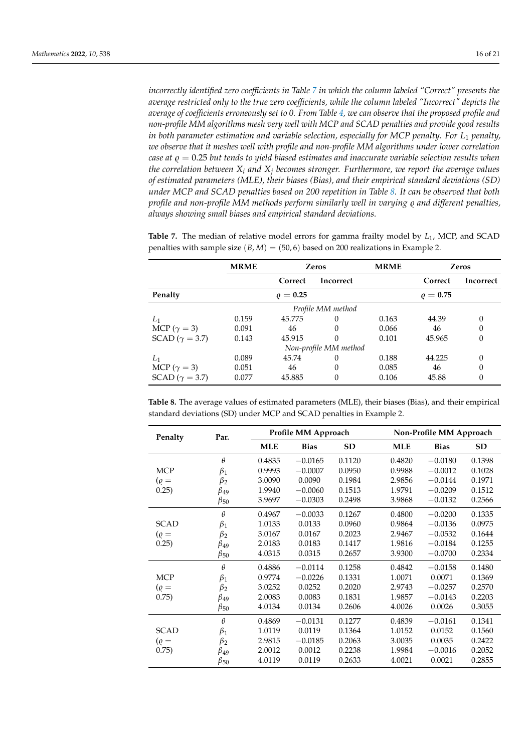*incorrectly identified zero coefficients in Table [7](#page-15-0) in which the column labeled "Correct" presents the average restricted only to the true zero coefficients, while the column labeled "Incorrect" depicts the average of coefficients erroneously set to 0. From Table [4,](#page-12-0) we can observe that the proposed profile and non-profile MM algorithms mesh very well with MCP and SCAD penalties and provide good results in both parameter estimation and variable selection, especially for MCP penalty. For L*<sup>1</sup> *penalty, we observe that it meshes well with profile and non-profile MM algorithms under lower correlation case at*  $\rho = 0.25$  *but tends to yield biased estimates and inaccurate variable selection results when the correlation between X<sup>i</sup> and X<sup>j</sup> becomes stronger. Furthermore, we report the average values of estimated parameters (MLE), their biases (Bias), and their empirical standard deviations (SD) under MCP and SCAD penalties based on 200 repetition in Table [8.](#page-15-1) It can be observed that both profile and non-profile MM methods perform similarly well in varying*  $\rho$  *and different penalties, always showing small biases and empirical standard deviations.*

|                         | <b>MRME</b> |               | Zeros                 | <b>MRME</b> |               | <b>Zeros</b> |
|-------------------------|-------------|---------------|-----------------------|-------------|---------------|--------------|
|                         |             | Correct       | <b>Incorrect</b>      |             | Correct       | Incorrect    |
| Penalty                 |             | $\rho = 0.25$ |                       |             | $\rho = 0.75$ |              |
|                         |             |               | Profile MM method     |             |               |              |
| $L_1$                   | 0.159       | 45.775        | 0                     | 0.163       | 44.39         | $\Omega$     |
| MCP ( $\gamma = 3$ )    | 0.091       | 46            | $\Omega$              | 0.066       | 46            | 0            |
| SCAD ( $\gamma = 3.7$ ) | 0.143       | 45.915        | 0                     | 0.101       | 45.965        | 0            |
|                         |             |               | Non-profile MM method |             |               |              |
| $L_1$                   | 0.089       | 45.74         | 0                     | 0.188       | 44.225        | $\Omega$     |
| MCP ( $\gamma = 3$ )    | 0.051       | 46            | $\Omega$              | 0.085       | 46            | $\Omega$     |
| SCAD ( $\gamma = 3.7$ ) | 0.077       | 45.885        | $\Omega$              | 0.106       | 45.88         | 0            |

<span id="page-15-0"></span>**Table 7.** The median of relative model errors for gamma frailty model by *L*<sup>1</sup> , MCP, and SCAD penalties with sample size  $(B, M) = (50, 6)$  based on 200 realizations in Example 2.

<span id="page-15-1"></span>**Table 8.** The average values of estimated parameters (MLE), their biases (Bias), and their empirical standard deviations (SD) under MCP and SCAD penalties in Example 2.

| Penalty      | Par.         |            | Profile MM Approach<br>Non-Profile MM Approach |           |            |             |           |
|--------------|--------------|------------|------------------------------------------------|-----------|------------|-------------|-----------|
|              |              | <b>MLE</b> | <b>Bias</b>                                    | <b>SD</b> | <b>MLE</b> | <b>Bias</b> | <b>SD</b> |
|              | θ            | 0.4835     | $-0.0165$                                      | 0.1120    | 0.4820     | $-0.0180$   | 0.1398    |
| <b>MCP</b>   | $\beta_1$    | 0.9993     | $-0.0007$                                      | 0.0950    | 0.9988     | $-0.0012$   | 0.1028    |
| $(\rho =$    | $\beta_2$    | 3.0090     | 0.0090                                         | 0.1984    | 2.9856     | $-0.0144$   | 0.1971    |
| 0.25)        | $\beta_{49}$ | 1.9940     | $-0.0060$                                      | 0.1513    | 1.9791     | $-0.0209$   | 0.1512    |
|              | $\beta_{50}$ | 3.9697     | $-0.0303$                                      | 0.2498    | 3.9868     | $-0.0132$   | 0.2566    |
|              | $\theta$     | 0.4967     | $-0.0033$                                      | 0.1267    | 0.4800     | $-0.0200$   | 0.1335    |
| <b>SCAD</b>  | $\beta_1$    | 1.0133     | 0.0133                                         | 0.0960    | 0.9864     | $-0.0136$   | 0.0975    |
| $(\varrho =$ | $\beta_2$    | 3.0167     | 0.0167                                         | 0.2023    | 2.9467     | $-0.0532$   | 0.1644    |
| 0.25)        | $\beta_{49}$ | 2.0183     | 0.0183                                         | 0.1417    | 1.9816     | $-0.0184$   | 0.1255    |
|              | $\beta_{50}$ | 4.0315     | 0.0315                                         | 0.2657    | 3.9300     | $-0.0700$   | 0.2334    |
|              | $\theta$     | 0.4886     | $-0.0114$                                      | 0.1258    | 0.4842     | $-0.0158$   | 0.1480    |
| <b>MCP</b>   | $\beta_1$    | 0.9774     | $-0.0226$                                      | 0.1331    | 1.0071     | 0.0071      | 0.1369    |
| $(\varrho =$ | $\beta_2$    | 3.0252     | 0.0252                                         | 0.2020    | 2.9743     | $-0.0257$   | 0.2570    |
| 0.75)        | $\beta_{49}$ | 2.0083     | 0.0083                                         | 0.1831    | 1.9857     | $-0.0143$   | 0.2203    |
|              | $\beta_{50}$ | 4.0134     | 0.0134                                         | 0.2606    | 4.0026     | 0.0026      | 0.3055    |
|              | $\theta$     | 0.4869     | $-0.0131$                                      | 0.1277    | 0.4839     | $-0.0161$   | 0.1341    |
| <b>SCAD</b>  | $\beta_1$    | 1.0119     | 0.0119                                         | 0.1364    | 1.0152     | 0.0152      | 0.1560    |
| $(\varrho =$ | $\beta_2$    | 2.9815     | $-0.0185$                                      | 0.2063    | 3.0035     | 0.0035      | 0.2422    |
| 0.75)        | $\beta_{49}$ | 2.0012     | 0.0012                                         | 0.2238    | 1.9984     | $-0.0016$   | 0.2052    |
|              | $\beta_{50}$ | 4.0119     | 0.0119                                         | 0.2633    | 4.0021     | 0.0021      | 0.2855    |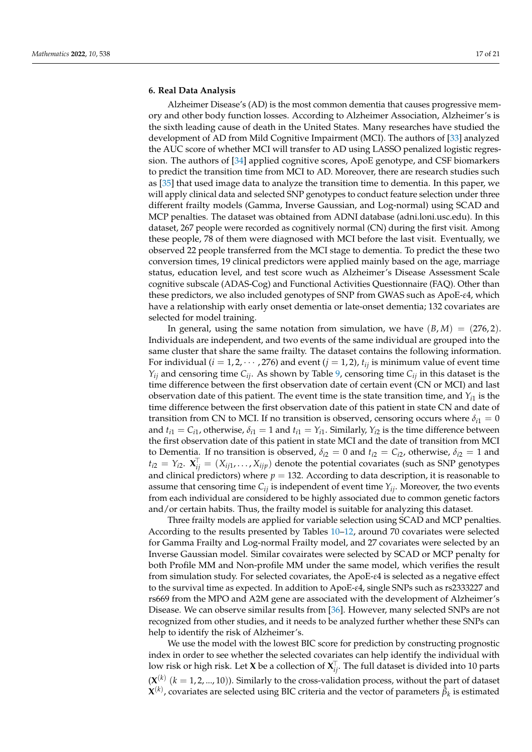### <span id="page-16-0"></span>**6. Real Data Analysis**

Alzheimer Disease's (AD) is the most common dementia that causes progressive memory and other body function losses. According to Alzheimer Association, Alzheimer's is the sixth leading cause of death in the United States. Many researches have studied the development of AD from Mild Cognitive Impairment (MCI). The authors of [\[33\]](#page-19-28) analyzed the AUC score of whether MCI will transfer to AD using LASSO penalized logistic regression. The authors of [\[34\]](#page-19-29) applied cognitive scores, ApoE genotype, and CSF biomarkers to predict the transition time from MCI to AD. Moreover, there are research studies such as [\[35\]](#page-20-0) that used image data to analyze the transition time to dementia. In this paper, we will apply clinical data and selected SNP genotypes to conduct feature selection under three different frailty models (Gamma, Inverse Gaussian, and Log-normal) using SCAD and MCP penalties. The dataset was obtained from ADNI database (adni.loni.usc.edu). In this dataset, 267 people were recorded as cognitively normal (CN) during the first visit. Among these people, 78 of them were diagnosed with MCI before the last visit. Eventually, we observed 22 people transferred from the MCI stage to dementia. To predict the these two conversion times, 19 clinical predictors were applied mainly based on the age, marriage status, education level, and test score wuch as Alzheimer's Disease Assessment Scale cognitive subscale (ADAS-Cog) and Functional Activities Questionnaire (FAQ). Other than these predictors, we also included genotypes of SNP from GWAS such as ApoE-*ε*4, which have a relationship with early onset dementia or late-onset dementia; 132 covariates are selected for model training.

In general, using the same notation from simulation, we have  $(B, M) = (276, 2)$ . Individuals are independent, and two events of the same individual are grouped into the same cluster that share the same frailty. The dataset contains the following information. For individual  $(i = 1, 2, \dots, 276)$  and event  $(j = 1, 2)$ ,  $t_{ij}$  is minimum value of event time  $Y_{ij}$  and censoring time  $C_{ij}$ . As shown by Table [9,](#page-17-0) censoring time  $C_{ij}$  in this dataset is the time difference between the first observation date of certain event (CN or MCI) and last observation date of this patient. The event time is the state transition time, and  $Y_{i1}$  is the time difference between the first observation date of this patient in state CN and date of transition from CN to MCI. If no transition is observed, censoring occurs where  $\delta_{i1} = 0$ and  $t_{i1} = C_{i1}$ , otherwise,  $\delta_{i1} = 1$  and  $t_{i1} = Y_{i1}$ . Similarly,  $Y_{i2}$  is the time difference between the first observation date of this patient in state MCI and the date of transition from MCI to Dementia. If no transition is observed,  $\delta_{i2} = 0$  and  $t_{i2} = C_{i2}$ , otherwise,  $\delta_{i2} = 1$  and  $t_{i2} = Y_{i2}$ .  $\mathbf{X}_{ij}^{\top} = (X_{ij1}, \dots, X_{ijp})$  denote the potential covariates (such as SNP genotypes and clinical predictors) where  $p = 132$ . According to data description, it is reasonable to assume that censoring time  $C_i$  is independent of event time  $Y_i$ . Moreover, the two events from each individual are considered to be highly associated due to common genetic factors and/or certain habits. Thus, the frailty model is suitable for analyzing this dataset.

Three frailty models are applied for variable selection using SCAD and MCP penalties. According to the results presented by Tables [10](#page-17-1)[–12,](#page-18-0) around 70 covariates were selected for Gamma Frailty and Log-normal Frailty model, and 27 covariates were selected by an Inverse Gaussian model. Similar covairates were selected by SCAD or MCP penalty for both Profile MM and Non-profile MM under the same model, which verifies the result from simulation study. For selected covariates, the ApoE-*ε*4 is selected as a negative effect to the survival time as expected. In addition to ApoE-*ε*4, single SNPs such as rs2333227 and rs669 from the MPO and A2M gene are associated with the development of Alzheimer's Disease. We can observe similar results from [\[36\]](#page-20-1). However, many selected SNPs are not recognized from other studies, and it needs to be analyzed further whether these SNPs can help to identify the risk of Alzheimer's.

We use the model with the lowest BIC score for prediction by constructing prognostic index in order to see whether the selected covariates can help identify the individual with low risk or high risk. Let **X** be a collection of  $\boldsymbol{X}_{ij}^\top$ . The full dataset is divided into 10 parts  $(X^{(k)}\ (k = 1, 2, ..., 10))$ . Similarly to the cross-validation process, without the part of dataset  $\mathbf{X}^{(k)}$ , covariates are selected using BIC criteria and the vector of parameters  $\tilde{\beta}_k$  is estimated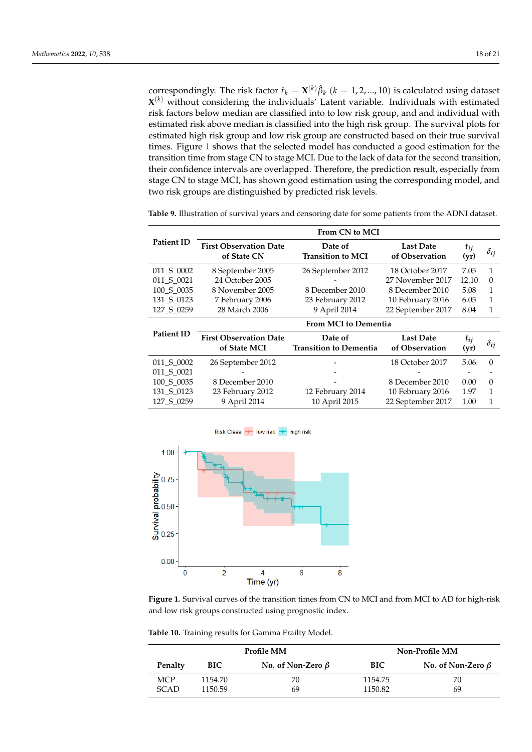correspondingly. The risk factor  $\hat{r}_k = \mathbf{X}^{(k)}\hat{\beta}_k$   $(k = 1, 2, ..., 10)$  is calculated using dataset **X** (*k*) without considering the individuals' Latent variable. Individuals with estimated risk factors below median are classified into to low risk group, and and individual with estimated risk above median is classified into the high risk group. The survival plots for estimated high risk group and low risk group are constructed based on their true survival times. Figure [1](#page-17-2) shows that the selected model has conducted a good estimation for the transition time from stage CN to stage MCI. Due to the lack of data for the second transition, their confidence intervals are overlapped. Therefore, the prediction result, especially from stage CN to stage MCI, has shown good estimation using the corresponding model, and two risk groups are distinguished by predicted risk levels.

|                   | From CN to MCI                               |                                     |                                    |                  |               |  |  |  |  |
|-------------------|----------------------------------------------|-------------------------------------|------------------------------------|------------------|---------------|--|--|--|--|
| <b>Patient ID</b> | <b>First Observation Date</b><br>of State CN | Date of<br><b>Transition to MCI</b> | <b>Last Date</b><br>of Observation | $t_{ij}$<br>(yr) | $\delta_{ij}$ |  |  |  |  |
| 011 S 0002        | 8 September 2005                             | 26 September 2012                   | 18 October 2017                    | 7.05             | 1             |  |  |  |  |
| 011 S 0021        | 24 October 2005                              |                                     | 27 November 2017                   | 12.10            | $\Omega$      |  |  |  |  |
| 100 S 0035        | 8 November 2005                              | 8 December 2010                     | 8 December 2010                    | 5.08             | 1             |  |  |  |  |
| 131 S 0123        | 7 February 2006                              | 23 February 2012                    | 10 February 2016                   | 6.05             | 1             |  |  |  |  |
| 127 S 0259        | 28 March 2006                                | 9 April 2014                        | 22 September 2017                  | 8.04             | 1             |  |  |  |  |
|                   | <b>From MCI to Dementia</b>                  |                                     |                                    |                  |               |  |  |  |  |
|                   |                                              |                                     |                                    |                  |               |  |  |  |  |
| <b>Patient ID</b> | <b>First Observation Date</b>                | Date of                             | <b>Last Date</b>                   | $t_{ij}$         |               |  |  |  |  |
|                   | of State MCI                                 | <b>Transition to Dementia</b>       | of Observation                     | (yr)             | $\delta_{ij}$ |  |  |  |  |
| 011 S 0002        | 26 September 2012                            |                                     | 18 October 2017                    | 5.06             | $\Omega$      |  |  |  |  |
| 011 S 0021        |                                              |                                     |                                    |                  |               |  |  |  |  |
| 100_S_0035        | 8 December 2010                              |                                     | 8 December 2010                    | 0.00             | $\Omega$      |  |  |  |  |
| 131_S_0123        | 23 February 2012                             | 12 February 2014                    | 10 February 2016                   | 1.97             | 1             |  |  |  |  |

<span id="page-17-0"></span>**Table 9.** Illustration of survival years and censoring date for some patients from the ADNI dataset.

<span id="page-17-2"></span>

**Figure 1.** Survival curves of the transition times from CN to MCI and from MCI to AD for high-risk and low risk groups constructed using prognostic index.

<span id="page-17-1"></span>**Table 10.** Training results for Gamma Frailty Model.

|            |            | Profile MM              | Non-Profile MM |                         |  |
|------------|------------|-------------------------|----------------|-------------------------|--|
| Penalty    | <b>BIC</b> | No. of Non-Zero $\beta$ | BIC.           | No. of Non-Zero $\beta$ |  |
| <b>MCP</b> | 1154.70    | 70                      | 1154.75        | 70                      |  |
| SCAD       | 1150.59    | 69                      | 1150.82        | 69                      |  |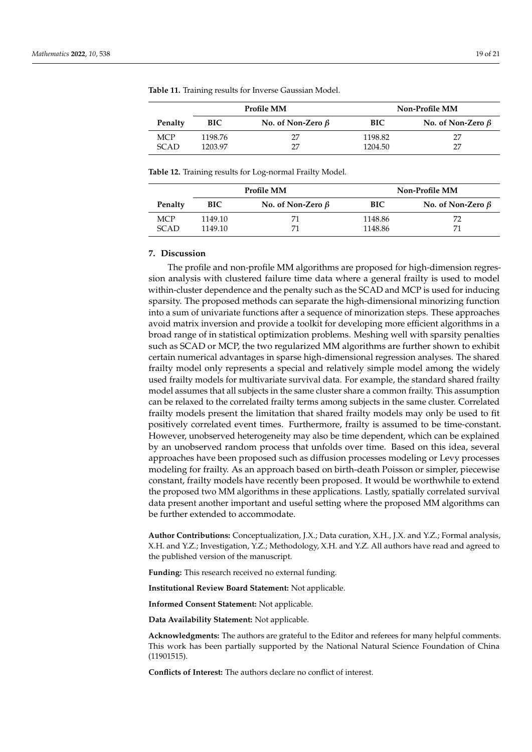|             |            | Profile MM              | <b>Non-Profile MM</b> |                         |  |
|-------------|------------|-------------------------|-----------------------|-------------------------|--|
| Penalty     | <b>BIC</b> | No. of Non-Zero $\beta$ | BIC.                  | No. of Non-Zero $\beta$ |  |
| <b>MCP</b>  | 1198.76    | 77                      | 1198.82               | 27                      |  |
| <b>SCAD</b> | 1203.97    | 77                      | 1204.50               | 27                      |  |

**Table 11.** Training results for Inverse Gaussian Model.

<span id="page-18-0"></span>**Table 12.** Training results for Log-normal Frailty Model.

|            |         | Profile MM              | <b>Non-Profile MM</b> |                         |  |
|------------|---------|-------------------------|-----------------------|-------------------------|--|
| Penalty    | BIC     | No. of Non-Zero $\beta$ | BIC                   | No. of Non-Zero $\beta$ |  |
| <b>MCP</b> | 1149.10 |                         | 1148.86               |                         |  |
| SCAD       | 1149.10 |                         | 1148.86               |                         |  |

#### **7. Discussion**

The profile and non-profile MM algorithms are proposed for high-dimension regression analysis with clustered failure time data where a general frailty is used to model within-cluster dependence and the penalty such as the SCAD and MCP is used for inducing sparsity. The proposed methods can separate the high-dimensional minorizing function into a sum of univariate functions after a sequence of minorization steps. These approaches avoid matrix inversion and provide a toolkit for developing more efficient algorithms in a broad range of in statistical optimization problems. Meshing well with sparsity penalties such as SCAD or MCP, the two regularized MM algorithms are further shown to exhibit certain numerical advantages in sparse high-dimensional regression analyses. The shared frailty model only represents a special and relatively simple model among the widely used frailty models for multivariate survival data. For example, the standard shared frailty model assumes that all subjects in the same cluster share a common frailty. This assumption can be relaxed to the correlated frailty terms among subjects in the same cluster. Correlated frailty models present the limitation that shared frailty models may only be used to fit positively correlated event times. Furthermore, frailty is assumed to be time-constant. However, unobserved heterogeneity may also be time dependent, which can be explained by an unobserved random process that unfolds over time. Based on this idea, several approaches have been proposed such as diffusion processes modeling or Levy processes modeling for frailty. As an approach based on birth-death Poisson or simpler, piecewise constant, frailty models have recently been proposed. It would be worthwhile to extend the proposed two MM algorithms in these applications. Lastly, spatially correlated survival data present another important and useful setting where the proposed MM algorithms can be further extended to accommodate.

**Author Contributions:** Conceptualization, J.X.; Data curation, X.H., J.X. and Y.Z.; Formal analysis, X.H. and Y.Z.; Investigation, Y.Z.; Methodology, X.H. and Y.Z. All authors have read and agreed to the published version of the manuscript.

**Funding:** This research received no external funding.

**Institutional Review Board Statement:** Not applicable.

**Informed Consent Statement:** Not applicable.

**Data Availability Statement:** Not applicable.

**Acknowledgments:** The authors are grateful to the Editor and referees for many helpful comments. This work has been partially supported by the National Natural Science Foundation of China (11901515).

**Conflicts of Interest:** The authors declare no conflict of interest.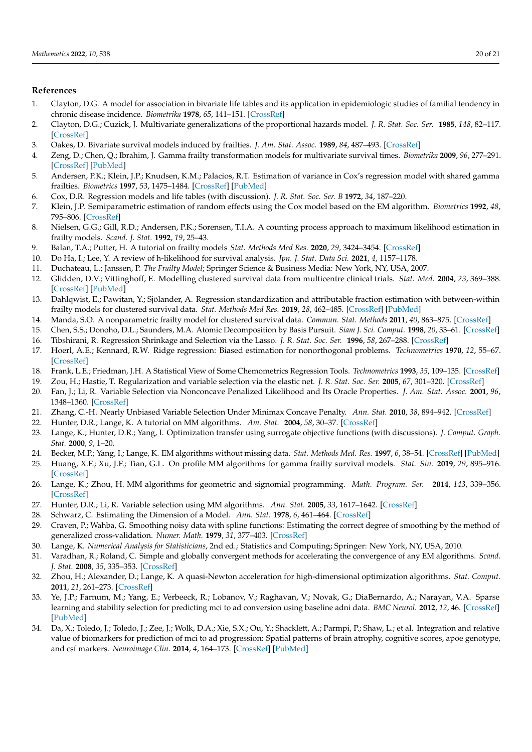# **References**

- <span id="page-19-0"></span>1. Clayton, D.G. A model for association in bivariate life tables and its application in epidemiologic studies of familial tendency in chronic disease incidence. *Biometrika* **1978**, *65*, 141–151. [\[CrossRef\]](http://doi.org/10.1093/biomet/65.1.141)
- <span id="page-19-4"></span>2. Clayton, D.G.; Cuzick, J. Multivariate generalizations of the proportional hazards model. *J. R. Stat. Soc. Ser.* **1985**, *148*, 82–117. [\[CrossRef\]](http://dx.doi.org/10.2307/2981943)
- 3. Oakes, D. Bivariate survival models induced by frailties. *J. Am. Stat. Assoc.* **1989**, *84*, 487–493. [\[CrossRef\]](http://dx.doi.org/10.1080/01621459.1989.10478795)
- <span id="page-19-1"></span>4. Zeng, D.; Chen, Q.; Ibrahim, J. Gamma frailty transformation models for multivariate survival times. *Biometrika* **2009**, *96*, 277–291. [\[CrossRef\]](http://dx.doi.org/10.1093/biomet/asp008) [\[PubMed\]](http://www.ncbi.nlm.nih.gov/pubmed/24948838)
- <span id="page-19-2"></span>5. Andersen, P.K.; Klein, J.P.; Knudsen, K.M.; Palacios, R.T. Estimation of variance in Cox's regression model with shared gamma frailties. *Biometrics* **1997**, *53*, 1475–1484. [\[CrossRef\]](http://dx.doi.org/10.2307/2533513) [\[PubMed\]](http://www.ncbi.nlm.nih.gov/pubmed/9423262)
- 6. Cox, D.R. Regression models and life tables (with discussion). *J. R. Stat. Soc. Ser. B* **1972**, *34*, 187–220.
- <span id="page-19-20"></span>7. Klein, J.P. Semiparametric estimation of random effects using the Cox model based on the EM algorithm. *Biometrics* **1992**, *48*, 795–806. [\[CrossRef\]](http://dx.doi.org/10.2307/2532345)
- <span id="page-19-3"></span>8. Nielsen, G.G.; Gill, R.D.; Andersen, P.K.; Sorensen, T.I.A. A counting process approach to maximum likelihood estimation in frailty models. *Scand. J. Stat.* **1992**, *19*, 25–43.
- <span id="page-19-5"></span>9. Balan, T.A.; Putter, H. A tutorial on frailty models *Stat. Methods Med Res.* **2020**, *29*, 3424–3454. [\[CrossRef\]](http://dx.doi.org/10.1177/0962280220921889)
- 10. Do Ha, I.; Lee, Y. A review of h-likelihood for survival analysis. *Jpn. J. Stat. Data Sci.* **2021**, *4*, 1157–1178.
- <span id="page-19-6"></span>11. Duchateau, L.; Janssen, P. *The Frailty Model*; Springer Science & Business Media: New York, NY, USA, 2007.
- <span id="page-19-7"></span>12. Glidden, D.V.; Vittinghoff, E. Modelling clustered survival data from multicentre clinical trials. *Stat. Med.* **2004**, *23*, 369–388. [\[CrossRef\]](http://dx.doi.org/10.1002/sim.1599) [\[PubMed\]](http://www.ncbi.nlm.nih.gov/pubmed/14748034)
- <span id="page-19-8"></span>13. Dahlqwist, E.; Pawitan, Y.; Sjölander, A. Regression standardization and attributable fraction estimation with between-within frailty models for clustered survival data. *Stat. Methods Med Res.* **2019**, *28*, 462–485. [\[CrossRef\]](http://dx.doi.org/10.1177/0962280217727558) [\[PubMed\]](http://www.ncbi.nlm.nih.gov/pubmed/28901198)
- <span id="page-19-9"></span>14. Manda, S.O. A nonparametric frailty model for clustered survival data. *Commun. Stat. Methods* **2011**, *40*, 863–875. [\[CrossRef\]](http://dx.doi.org/10.1080/03610920903480882)
- <span id="page-19-10"></span>15. Chen, S.S.; Donoho, D.L.; Saunders, M.A. Atomic Decomposition by Basis Pursuit. *Siam J. Sci. Comput.* **1998**, *20*, 33–61. [\[CrossRef\]](http://dx.doi.org/10.1137/S1064827596304010)
- <span id="page-19-11"></span>16. Tibshirani, R. Regression Shrinkage and Selection via the Lasso. *J. R. Stat. Soc. Ser.* **1996**, *58*, 267–288. [\[CrossRef\]](http://dx.doi.org/10.1111/j.2517-6161.1996.tb02080.x)
- <span id="page-19-12"></span>17. Hoerl, A.E.; Kennard, R.W. Ridge regression: Biased estimation for nonorthogonal problems. *Technometrics* **1970**, *12*, 55–67. [\[CrossRef\]](http://dx.doi.org/10.1080/00401706.1970.10488634)
- <span id="page-19-13"></span>18. Frank, L.E.; Friedman, J.H. A Statistical View of Some Chemometrics Regression Tools. *Technometrics* **1993**, *35*, 109–135. [\[CrossRef\]](http://dx.doi.org/10.1080/00401706.1993.10485033)
- <span id="page-19-14"></span>19. Zou, H.; Hastie, T. Regularization and variable selection via the elastic net. *J. R. Stat. Soc. Ser.* **2005**, *67*, 301–320. [\[CrossRef\]](http://dx.doi.org/10.1111/j.1467-9868.2005.00503.x)
- <span id="page-19-15"></span>20. Fan, J.; Li, R. Variable Selection via Nonconcave Penalized Likelihood and Its Oracle Properties. *J. Am. Stat. Assoc.* **2001**, *96*, 1348–1360. [\[CrossRef\]](http://dx.doi.org/10.1198/016214501753382273)
- <span id="page-19-16"></span>21. Zhang, C.-H. Nearly Unbiased Variable Selection Under Minimax Concave Penalty. *Ann. Stat.* **2010**, *38*, 894–942. [\[CrossRef\]](http://dx.doi.org/10.1214/09-AOS729)
- <span id="page-19-17"></span>22. Hunter, D.R.; Lange, K. A tutorial on MM algorithms. *Am. Stat.* **2004**, *58*, 30–37. [\[CrossRef\]](http://dx.doi.org/10.1198/0003130042836)
- 23. Lange, K.; Hunter, D.R.; Yang, I. Optimization transfer using surrogate objective functions (with discussions). *J. Comput. Graph. Stat.* **2000**, *9*, 1–20.
- <span id="page-19-18"></span>24. Becker, M.P.; Yang, I.; Lange, K. EM algorithms without missing data. *Stat. Methods Med. Res.* **1997**, *6*, 38–54. [\[CrossRef\]](http://dx.doi.org/10.1177/096228029700600104) [\[PubMed\]](http://www.ncbi.nlm.nih.gov/pubmed/9185289)
- <span id="page-19-19"></span>25. Huang, X.F.; Xu, J.F.; Tian, G.L. On profile MM algorithms for gamma frailty survival models. *Stat. Sin.* **2019**, *29*, 895–916. [\[CrossRef\]](http://dx.doi.org/10.5705/ss.202016.0516)
- <span id="page-19-21"></span>26. Lange, K.; Zhou, H. MM algorithms for geometric and signomial programming. *Math. Program. Ser.* **2014**, *143*, 339–356. [\[CrossRef\]](http://dx.doi.org/10.1007/s10107-012-0612-1)
- <span id="page-19-22"></span>27. Hunter, D.R.; Li, R. Variable selection using MM algorithms. *Ann. Stat.* **2005**, *33*, 1617–1642. [\[CrossRef\]](http://dx.doi.org/10.1214/009053605000000200)
- <span id="page-19-23"></span>28. Schwarz, C. Estimating the Dimension of a Model. *Ann. Stat.* **1978**, *6*, 461–464. [\[CrossRef\]](http://dx.doi.org/10.1214/aos/1176344136)
- <span id="page-19-24"></span>29. Craven, P.; Wahba, G. Smoothing noisy data with spline functions: Estimating the correct degree of smoothing by the method of generalized cross-validation. *Numer. Math.* **1979**, *31*, 377–403. [\[CrossRef\]](http://dx.doi.org/10.1007/BF01404567)
- <span id="page-19-25"></span>30. Lange, K. *Numerical Analysis for Statisticians*, 2nd ed.; Statistics and Computing; Springer: New York, NY, USA, 2010.
- <span id="page-19-26"></span>31. Varadhan, R.; Roland, C. Simple and globally convergent methods for accelerating the convergence of any EM algorithms. *Scand. J. Stat.* **2008**, *35*, 335–353. [\[CrossRef\]](http://dx.doi.org/10.1111/j.1467-9469.2007.00585.x)
- <span id="page-19-27"></span>32. Zhou, H.; Alexander, D.; Lange, K. A quasi-Newton acceleration for high-dimensional optimization algorithms. *Stat. Comput.* **2011**, *21*, 261–273. [\[CrossRef\]](http://dx.doi.org/10.1007/s11222-009-9166-3)
- <span id="page-19-28"></span>33. Ye, J.P.; Farnum, M.; Yang, E.; Verbeeck, R.; Lobanov, V.; Raghavan, V.; Novak, G.; DiaBernardo, A.; Narayan, V.A. Sparse learning and stability selection for predicting mci to ad conversion using baseline adni data. *BMC Neurol.* **2012**, *12*, 46. [\[CrossRef\]](http://dx.doi.org/10.1186/1471-2377-12-46) [\[PubMed\]](http://www.ncbi.nlm.nih.gov/pubmed/22731740)
- <span id="page-19-29"></span>34. Da, X.; Toledo, J.; Toledo, J.; Zee, J.; Wolk, D.A.; Xie, S.X.; Ou, Y.; Shacklett, A.; Parmpi, P.; Shaw, L.; et al. Integration and relative value of biomarkers for prediction of mci to ad progression: Spatial patterns of brain atrophy, cognitive scores, apoe genotype, and csf markers. *Neuroimage Clin.* **2014**, *4*, 164–173. [\[CrossRef\]](http://dx.doi.org/10.1016/j.nicl.2013.11.010) [\[PubMed\]](http://www.ncbi.nlm.nih.gov/pubmed/24371799)